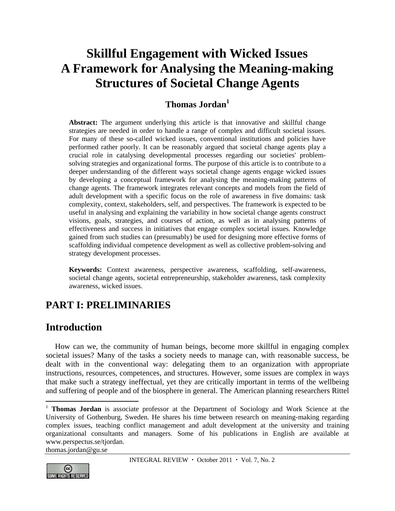# **Skillful Engagement with Wicked Issues A Framework for Analysing the Meaning-making Structures of Societal Change Agents**

# **Thomas Jordan1**

**Abstract:** The argument underlying this article is that innovative and skillful change strategies are needed in order to handle a range of complex and difficult societal issues. For many of these so-called wicked issues, conventional institutions and policies have performed rather poorly. It can be reasonably argued that societal change agents play a crucial role in catalysing developmental processes regarding our societies' problemsolving strategies and organizational forms. The purpose of this article is to contribute to a deeper understanding of the different ways societal change agents engage wicked issues by developing a conceptual framework for analysing the meaning-making patterns of change agents. The framework integrates relevant concepts and models from the field of adult development with a specific focus on the role of awareness in five domains: task complexity, context, stakeholders, self, and perspectives. The framework is expected to be useful in analysing and explaining the variability in how societal change agents construct visions, goals, strategies, and courses of action, as well as in analysing patterns of effectiveness and success in initiatives that engage complex societal issues. Knowledge gained from such studies can (presumably) be used for designing more effective forms of scaffolding individual competence development as well as collective problem-solving and strategy development processes.

**Keywords:** Context awareness, perspective awareness, scaffolding, self-awareness, societal change agents, societal entrepreneurship, stakeholder awareness, task complexity awareness, wicked issues.

# **PART I: PRELIMINARIES**

# **Introduction**

How can we, the community of human beings, become more skillful in engaging complex societal issues? Many of the tasks a society needs to manage can, with reasonable success, be dealt with in the conventional way: delegating them to an organization with appropriate instructions, resources, competences, and structures. However, some issues are complex in ways that make such a strategy ineffectual, yet they are critically important in terms of the wellbeing and suffering of people and of the biosphere in general. The American planning researchers Rittel

thomas.jordan@gu.se



 $\overline{a}$ 

<sup>&</sup>lt;sup>1</sup> **Thomas Jordan** is associate professor at the Department of Sociology and Work Science at the University of Gothenburg, Sweden. He shares his time between research on meaning-making regarding complex issues, teaching conflict management and adult development at the university and training organizational consultants and managers. Some of his publications in English are available at www.perspectus.se/tjordan.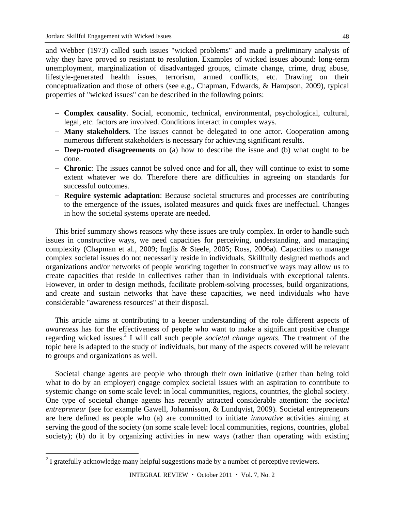and Webber (1973) called such issues "wicked problems" and made a preliminary analysis of why they have proved so resistant to resolution. Examples of wicked issues abound: long-term unemployment, marginalization of disadvantaged groups, climate change, crime, drug abuse, lifestyle-generated health issues, terrorism, armed conflicts, etc. Drawing on their conceptualization and those of others (see e.g., Chapman, Edwards, & Hampson, 2009), typical properties of "wicked issues" can be described in the following points:

- **Complex causality**. Social, economic, technical, environmental, psychological, cultural, legal, etc. factors are involved. Conditions interact in complex ways.
- **Many stakeholders**. The issues cannot be delegated to one actor. Cooperation among numerous different stakeholders is necessary for achieving significant results.
- **Deep-rooted disagreements** on (a) how to describe the issue and (b) what ought to be done.
- **Chronic**: The issues cannot be solved once and for all, they will continue to exist to some extent whatever we do. Therefore there are difficulties in agreeing on standards for successful outcomes.
- **Require systemic adaptation**: Because societal structures and processes are contributing to the emergence of the issues, isolated measures and quick fixes are ineffectual. Changes in how the societal systems operate are needed.

This brief summary shows reasons why these issues are truly complex. In order to handle such issues in constructive ways, we need capacities for perceiving, understanding, and managing complexity (Chapman et al., 2009; Inglis & Steele, 2005; Ross, 2006a). Capacities to manage complex societal issues do not necessarily reside in individuals. Skillfully designed methods and organizations and/or networks of people working together in constructive ways may allow us to create capacities that reside in collectives rather than in individuals with exceptional talents. However, in order to design methods, facilitate problem-solving processes, build organizations, and create and sustain networks that have these capacities, we need individuals who have considerable "awareness resources" at their disposal.

This article aims at contributing to a keener understanding of the role different aspects of *awareness* has for the effectiveness of people who want to make a significant positive change regarding wicked issues.<sup>2</sup> I will call such people *societal change agents*. The treatment of the topic here is adapted to the study of individuals, but many of the aspects covered will be relevant to groups and organizations as well.

Societal change agents are people who through their own initiative (rather than being told what to do by an employer) engage complex societal issues with an aspiration to contribute to systemic change on some scale level: in local communities, regions, countries, the global society. One type of societal change agents has recently attracted considerable attention: the *societal entrepreneur* (see for example Gawell, Johannisson, & Lundqvist, 2009). Societal entrepreneurs are here defined as people who (a) are committed to initiate *innovative* activities aiming at serving the good of the society (on some scale level: local communities, regions, countries, global society); (b) do it by organizing activities in new ways (rather than operating with existing

 $\overline{a}$ 

 $2<sup>2</sup>$  I gratefully acknowledge many helpful suggestions made by a number of perceptive reviewers.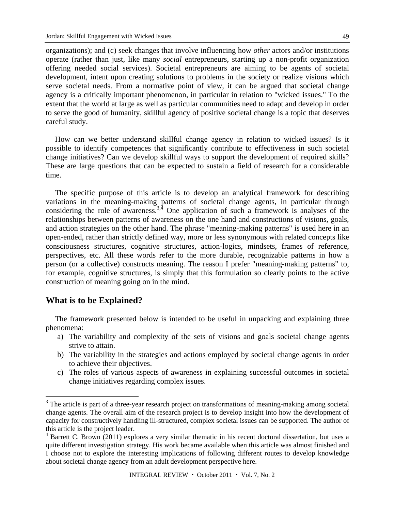organizations); and (c) seek changes that involve influencing how *other* actors and/or institutions operate (rather than just, like many *social* entrepreneurs, starting up a non-profit organization offering needed social services). Societal entrepreneurs are aiming to be agents of societal development, intent upon creating solutions to problems in the society or realize visions which serve societal needs. From a normative point of view, it can be argued that societal change agency is a critically important phenomenon, in particular in relation to "wicked issues." To the extent that the world at large as well as particular communities need to adapt and develop in order to serve the good of humanity, skillful agency of positive societal change is a topic that deserves careful study.

How can we better understand skillful change agency in relation to wicked issues? Is it possible to identify competences that significantly contribute to effectiveness in such societal change initiatives? Can we develop skillful ways to support the development of required skills? These are large questions that can be expected to sustain a field of research for a considerable time.

The specific purpose of this article is to develop an analytical framework for describing variations in the meaning-making patterns of societal change agents, in particular through considering the role of awareness.<sup>3,4</sup> One application of such a framework is analyses of the relationships between patterns of awareness on the one hand and constructions of visions, goals, and action strategies on the other hand. The phrase "meaning-making patterns" is used here in an open-ended, rather than strictly defined way, more or less synonymous with related concepts like consciousness structures, cognitive structures, action-logics, mindsets, frames of reference, perspectives, etc. All these words refer to the more durable, recognizable patterns in how a person (or a collective) constructs meaning. The reason I prefer "meaning-making patterns" to, for example, cognitive structures, is simply that this formulation so clearly points to the active construction of meaning going on in the mind.

## **What is to be Explained?**

 $\overline{a}$ 

The framework presented below is intended to be useful in unpacking and explaining three phenomena:

- a) The variability and complexity of the sets of visions and goals societal change agents strive to attain.
- b) The variability in the strategies and actions employed by societal change agents in order to achieve their objectives.
- c) The roles of various aspects of awareness in explaining successful outcomes in societal change initiatives regarding complex issues.

<sup>&</sup>lt;sup>3</sup> The article is part of a three-year research project on transformations of meaning-making among societal change agents. The overall aim of the research project is to develop insight into how the development of capacity for constructively handling ill-structured, complex societal issues can be supported. The author of this article is the project leader.

<sup>&</sup>lt;sup>4</sup> Barrett C. Brown (2011) explores a very similar thematic in his recent doctoral dissertation, but uses a quite different investigation strategy. His work became available when this article was almost finished and I choose not to explore the interesting implications of following different routes to develop knowledge about societal change agency from an adult development perspective here.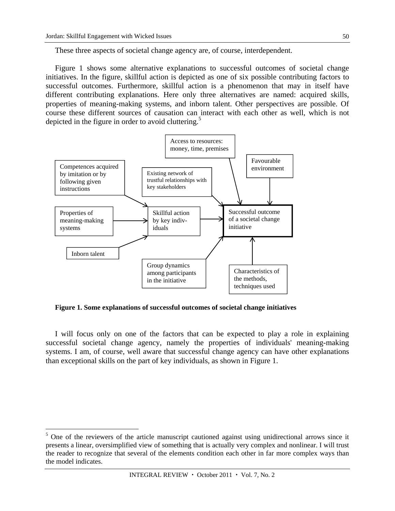$\overline{a}$ 

These three aspects of societal change agency are, of course, interdependent.

Figure 1 shows some alternative explanations to successful outcomes of societal change initiatives. In the figure, skillful action is depicted as one of six possible contributing factors to successful outcomes. Furthermore, skillful action is a phenomenon that may in itself have different contributing explanations. Here only three alternatives are named: acquired skills, properties of meaning-making systems, and inborn talent. Other perspectives are possible. Of course these different sources of causation can interact with each other as well, which is not depicted in the figure in order to avoid cluttering.<sup>5</sup>



**Figure 1. Some explanations of successful outcomes of societal change initiatives** 

I will focus only on one of the factors that can be expected to play a role in explaining successful societal change agency, namely the properties of individuals' meaning-making systems. I am, of course, well aware that successful change agency can have other explanations than exceptional skills on the part of key individuals, as shown in Figure 1.

<sup>&</sup>lt;sup>5</sup> One of the reviewers of the article manuscript cautioned against using unidirectional arrows since it presents a linear, oversimplified view of something that is actually very complex and nonlinear. I will trust the reader to recognize that several of the elements condition each other in far more complex ways than the model indicates.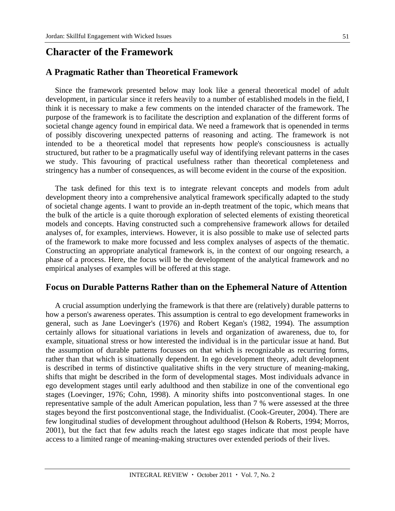# **Character of the Framework**

### **A Pragmatic Rather than Theoretical Framework**

Since the framework presented below may look like a general theoretical model of adult development, in particular since it refers heavily to a number of established models in the field, I think it is necessary to make a few comments on the intended character of the framework. The purpose of the framework is to facilitate the description and explanation of the different forms of societal change agency found in empirical data. We need a framework that is openended in terms of possibly discovering unexpected patterns of reasoning and acting. The framework is not intended to be a theoretical model that represents how people's consciousness is actually structured, but rather to be a pragmatically useful way of identifying relevant patterns in the cases we study. This favouring of practical usefulness rather than theoretical completeness and stringency has a number of consequences, as will become evident in the course of the exposition.

The task defined for this text is to integrate relevant concepts and models from adult development theory into a comprehensive analytical framework specifically adapted to the study of societal change agents. I want to provide an in-depth treatment of the topic, which means that the bulk of the article is a quite thorough exploration of selected elements of existing theoretical models and concepts. Having constructed such a comprehensive framework allows for detailed analyses of, for examples, interviews. However, it is also possible to make use of selected parts of the framework to make more focussed and less complex analyses of aspects of the thematic. Constructing an appropriate analytical framework is, in the context of our ongoing research, a phase of a process. Here, the focus will be the development of the analytical framework and no empirical analyses of examples will be offered at this stage.

### **Focus on Durable Patterns Rather than on the Ephemeral Nature of Attention**

A crucial assumption underlying the framework is that there are (relatively) durable patterns to how a person's awareness operates. This assumption is central to ego development frameworks in general, such as Jane Loevinger's (1976) and Robert Kegan's (1982, 1994). The assumption certainly allows for situational variations in levels and organization of awareness, due to, for example, situational stress or how interested the individual is in the particular issue at hand. But the assumption of durable patterns focusses on that which is recognizable as recurring forms, rather than that which is situationally dependent. In ego development theory, adult development is described in terms of distinctive qualitative shifts in the very structure of meaning-making, shifts that might be described in the form of developmental stages. Most individuals advance in ego development stages until early adulthood and then stabilize in one of the conventional ego stages (Loevinger, 1976; Cohn, 1998). A minority shifts into postconventional stages. In one representative sample of the adult American population, less than 7 % were assessed at the three stages beyond the first postconventional stage, the Individualist. (Cook-Greuter, 2004). There are few longitudinal studies of development throughout adulthood (Helson & Roberts, 1994; Morros, 2001), but the fact that few adults reach the latest ego stages indicate that most people have access to a limited range of meaning-making structures over extended periods of their lives.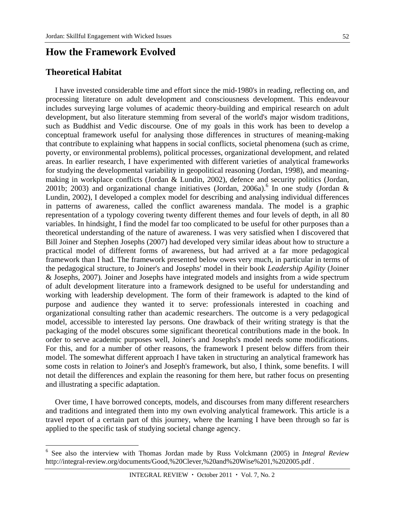# **How the Framework Evolved**

### **Theoretical Habitat**

 $\overline{a}$ 

I have invested considerable time and effort since the mid-1980's in reading, reflecting on, and processing literature on adult development and consciousness development. This endeavour includes surveying large volumes of academic theory-building and empirical research on adult development, but also literature stemming from several of the world's major wisdom traditions, such as Buddhist and Vedic discourse. One of my goals in this work has been to develop a conceptual framework useful for analysing those differences in structures of meaning-making that contribute to explaining what happens in social conflicts, societal phenomena (such as crime, poverty, or environmental problems), political processes, organizational development, and related areas. In earlier research, I have experimented with different varieties of analytical frameworks for studying the developmental variability in geopolitical reasoning (Jordan, 1998), and meaningmaking in workplace conflicts (Jordan & Lundin, 2002), defence and security politics (Jordan, 2001b; 2003) and organizational change initiatives (Jordan, 2006a). In one study (Jordan & Lundin, 2002), I developed a complex model for describing and analysing individual differences in patterns of awareness, called the conflict awareness mandala. The model is a graphic representation of a typology covering twenty different themes and four levels of depth, in all 80 variables. In hindsight, I find the model far too complicated to be useful for other purposes than a theoretical understanding of the nature of awareness. I was very satisfied when I discovered that Bill Joiner and Stephen Josephs (2007) had developed very similar ideas about how to structure a practical model of different forms of awareness, but had arrived at a far more pedagogical framework than I had. The framework presented below owes very much, in particular in terms of the pedagogical structure, to Joiner's and Josephs' model in their book *Leadership Agility* (Joiner & Josephs, 2007)*.* Joiner and Josephs have integrated models and insights from a wide spectrum of adult development literature into a framework designed to be useful for understanding and working with leadership development. The form of their framework is adapted to the kind of purpose and audience they wanted it to serve: professionals interested in coaching and organizational consulting rather than academic researchers. The outcome is a very pedagogical model, accessible to interested lay persons. One drawback of their writing strategy is that the packaging of the model obscures some significant theoretical contributions made in the book. In order to serve academic purposes well, Joiner's and Josephs's model needs some modifications. For this, and for a number of other reasons, the framework I present below differs from their model. The somewhat different approach I have taken in structuring an analytical framework has some costs in relation to Joiner's and Joseph's framework, but also, I think, some benefits. I will not detail the differences and explain the reasoning for them here, but rather focus on presenting and illustrating a specific adaptation.

Over time, I have borrowed concepts, models, and discourses from many different researchers and traditions and integrated them into my own evolving analytical framework. This article is a travel report of a certain part of this journey, where the learning I have been through so far is applied to the specific task of studying societal change agency.

<sup>6</sup> See also the interview with Thomas Jordan made by Russ Volckmann (2005) in *Integral Review* http://integral-review.org/documents/Good,%20Clever,%20and%20Wise%201,%202005.pdf .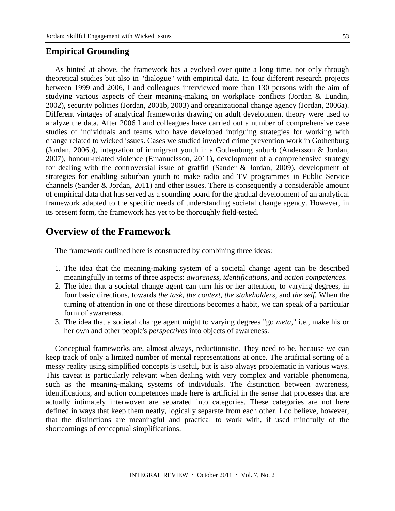## **Empirical Grounding**

As hinted at above, the framework has a evolved over quite a long time, not only through theoretical studies but also in "dialogue" with empirical data. In four different research projects between 1999 and 2006, I and colleagues interviewed more than 130 persons with the aim of studying various aspects of their meaning-making on workplace conflicts (Jordan & Lundin, 2002), security policies (Jordan, 2001b, 2003) and organizational change agency (Jordan, 2006a). Different vintages of analytical frameworks drawing on adult development theory were used to analyze the data. After 2006 I and colleagues have carried out a number of comprehensive case studies of individuals and teams who have developed intriguing strategies for working with change related to wicked issues. Cases we studied involved crime prevention work in Gothenburg (Jordan, 2006b), integration of immigrant youth in a Gothenburg suburb (Andersson & Jordan, 2007), honour-related violence (Emanuelsson, 2011), development of a comprehensive strategy for dealing with the controversial issue of graffiti (Sander & Jordan, 2009), development of strategies for enabling suburban youth to make radio and TV programmes in Public Service channels (Sander & Jordan, 2011) and other issues. There is consequently a considerable amount

of empirical data that has served as a sounding board for the gradual development of an analytical framework adapted to the specific needs of understanding societal change agency. However, in its present form, the framework has yet to be thoroughly field-tested.

# **Overview of the Framework**

The framework outlined here is constructed by combining three ideas:

- 1. The idea that the meaning-making system of a societal change agent can be described meaningfully in terms of three aspects: *awareness, identifications,* and *action competences.*
- 2. The idea that a societal change agent can turn his or her attention, to varying degrees, in four basic directions, towards *the task, the context, the stakeholders,* and *the self.* When the turning of attention in one of these directions becomes a habit, we can speak of a particular form of awareness.
- 3. The idea that a societal change agent might to varying degrees "go *meta*," i.e., make his or her own and other people's *perspectives* into objects of awareness.

Conceptual frameworks are, almost always, reductionistic. They need to be, because we can keep track of only a limited number of mental representations at once. The artificial sorting of a messy reality using simplified concepts is useful, but is also always problematic in various ways. This caveat is particularly relevant when dealing with very complex and variable phenomena, such as the meaning-making systems of individuals. The distinction between awareness, identifications, and action competences made here *is* artificial in the sense that processes that are actually intimately interwoven are separated into categories. These categories are not here defined in ways that keep them neatly, logically separate from each other. I do believe, however, that the distinctions are meaningful and practical to work with, if used mindfully of the shortcomings of conceptual simplifications.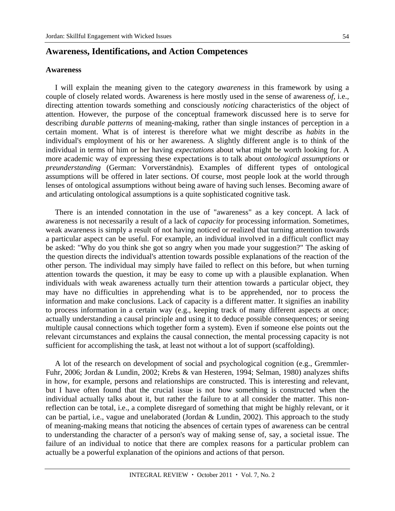### **Awareness, Identifications, and Action Competences**

#### **Awareness**

I will explain the meaning given to the category *awareness* in this framework by using a couple of closely related words. Awareness is here mostly used in the sense of awareness *of,* i.e., directing attention towards something and consciously *noticing* characteristics of the object of attention. However, the purpose of the conceptual framework discussed here is to serve for describing *durable patterns* of meaning-making, rather than single instances of perception in a certain moment. What is of interest is therefore what we might describe as *habits* in the individual's employment of his or her awareness. A slightly different angle is to think of the individual in terms of him or her having *expectations* about what might be worth looking for. A more academic way of expressing these expectations is to talk about *ontological assumptions* or *preunderstanding* (German: Vorverständnis). Examples of different types of ontological assumptions will be offered in later sections. Of course, most people look at the world through lenses of ontological assumptions without being aware of having such lenses. Becoming aware of and articulating ontological assumptions is a quite sophisticated cognitive task.

There is an intended connotation in the use of "awareness" as a key concept. A lack of awareness is not necessarily a result of a lack of *capacity* for processing information. Sometimes, weak awareness is simply a result of not having noticed or realized that turning attention towards a particular aspect can be useful. For example, an individual involved in a difficult conflict may be asked: "Why do you think she got so angry when you made your suggestion?" The asking of the question directs the individual's attention towards possible explanations of the reaction of the other person. The individual may simply have failed to reflect on this before, but when turning attention towards the question, it may be easy to come up with a plausible explanation. When individuals with weak awareness actually turn their attention towards a particular object, they may have no difficulties in apprehending what is to be apprehended, nor to process the information and make conclusions. Lack of capacity is a different matter. It signifies an inability to process information in a certain way (e.g., keeping track of many different aspects at once; actually understanding a causal principle and using it to deduce possible consequences; or seeing multiple causal connections which together form a system). Even if someone else points out the relevant circumstances and explains the causal connection, the mental processing capacity is not sufficient for accomplishing the task, at least not without a lot of support (scaffolding).

A lot of the research on development of social and psychological cognition (e.g., Gremmler-Fuhr, 2006; Jordan & Lundin, 2002; Krebs & van Hesteren, 1994; Selman, 1980) analyzes shifts in how, for example, persons and relationships are constructed. This is interesting and relevant, but I have often found that the crucial issue is not how something is constructed when the individual actually talks about it, but rather the failure to at all consider the matter. This nonreflection can be total, i.e., a complete disregard of something that might be highly relevant, or it can be partial, i.e., vague and unelaborated (Jordan & Lundin, 2002). This approach to the study of meaning-making means that noticing the absences of certain types of awareness can be central to understanding the character of a person's way of making sense of, say, a societal issue. The failure of an individual to notice that there are complex reasons for a particular problem can actually be a powerful explanation of the opinions and actions of that person.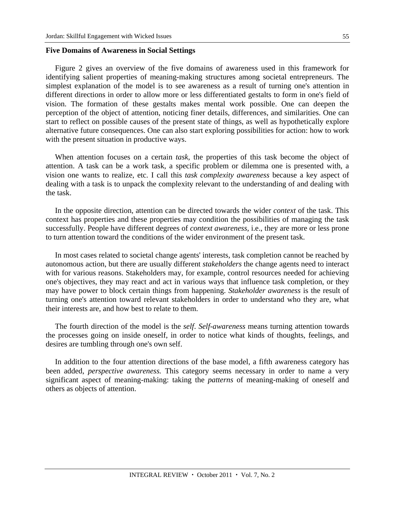#### **Five Domains of Awareness in Social Settings**

Figure 2 gives an overview of the five domains of awareness used in this framework for identifying salient properties of meaning-making structures among societal entrepreneurs. The simplest explanation of the model is to see awareness as a result of turning one's attention in different directions in order to allow more or less differentiated gestalts to form in one's field of vision. The formation of these gestalts makes mental work possible. One can deepen the perception of the object of attention, noticing finer details, differences, and similarities. One can start to reflect on possible causes of the present state of things, as well as hypothetically explore alternative future consequences. One can also start exploring possibilities for action: how to work with the present situation in productive ways.

When attention focuses on a certain *task*, the properties of this task become the object of attention. A task can be a work task, a specific problem or dilemma one is presented with, a vision one wants to realize, etc. I call this *task complexity awareness* because a key aspect of dealing with a task is to unpack the complexity relevant to the understanding of and dealing with the task.

In the opposite direction, attention can be directed towards the wider *context* of the task. This context has properties and these properties may condition the possibilities of managing the task successfully. People have different degrees of *context awareness,* i.e., they are more or less prone to turn attention toward the conditions of the wider environment of the present task.

In most cases related to societal change agents' interests, task completion cannot be reached by autonomous action, but there are usually different *stakeholders* the change agents need to interact with for various reasons. Stakeholders may, for example, control resources needed for achieving one's objectives, they may react and act in various ways that influence task completion, or they may have power to block certain things from happening. *Stakeholder awareness* is the result of turning one's attention toward relevant stakeholders in order to understand who they are, what their interests are, and how best to relate to them.

The fourth direction of the model is the *self*. *Self-awareness* means turning attention towards the processes going on inside oneself, in order to notice what kinds of thoughts, feelings, and desires are tumbling through one's own self.

In addition to the four attention directions of the base model, a fifth awareness category has been added, *perspective awareness.* This category seems necessary in order to name a very significant aspect of meaning-making: taking the *patterns* of meaning-making of oneself and others as objects of attention.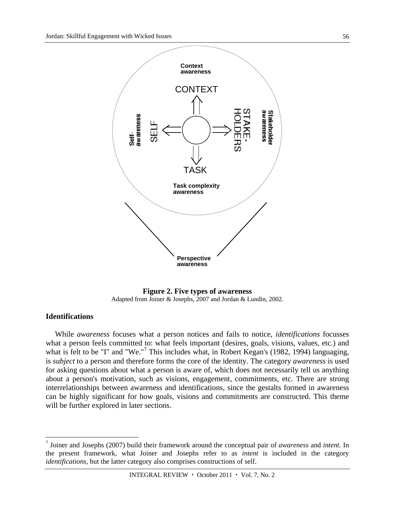

**Figure 2. Five types of awareness**  Adapted from Joiner & Josephs, 2007 and Jordan & Lundin, 2002.

### **Identifications**

 $\overline{a}$ 

While *awareness* focuses what a person notices and fails to notice, *identifications* focusses what a person feels committed to: what feels important (desires, goals, visions, values, etc.) and what is felt to be "I" and "We."<sup>7</sup> This includes what, in Robert Kegan's (1982, 1994) languaging, is *subject* to a person and therefore forms the core of the identity. The category *awareness* is used for asking questions about what a person is aware of, which does not necessarily tell us anything about a person's motivation, such as visions, engagement, commitments, etc. There are strong interrelationships between awareness and identifications, since the gestalts formed in awareness can be highly significant for how goals, visions and commitments are constructed. This theme will be further explored in later sections.

<sup>7</sup> Joiner and Josephs (2007) build their framework around the conceptual pair of *awareness* and *intent.* In the present framework, what Joiner and Josephs refer to as *intent* is included in the category *identifications,* but the latter category also comprises constructions of self.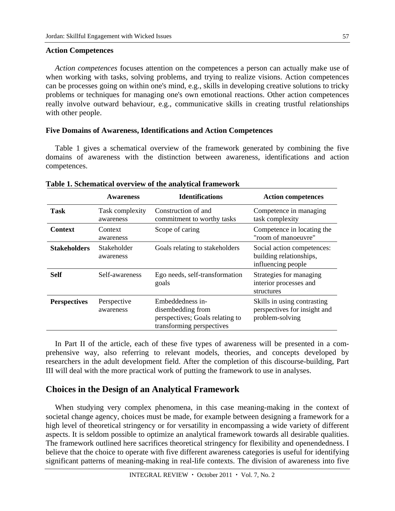#### **Action Competences**

*Action competences* focuses attention on the competences a person can actually make use of when working with tasks, solving problems, and trying to realize visions. Action competences can be processes going on within one's mind, e.g., skills in developing creative solutions to tricky problems or techniques for managing one's own emotional reactions. Other action competences really involve outward behaviour, e.g., communicative skills in creating trustful relationships with other people.

#### **Five Domains of Awareness, Identifications and Action Competences**

Table 1 gives a schematical overview of the framework generated by combining the five domains of awareness with the distinction between awareness, identifications and action competences.

|                     | <b>Awareness</b>             | <b>Identifications</b>                                                                                | <b>Action competences</b>                                                      |
|---------------------|------------------------------|-------------------------------------------------------------------------------------------------------|--------------------------------------------------------------------------------|
| Task                | Task complexity<br>awareness | Construction of and<br>commitment to worthy tasks                                                     | Competence in managing<br>task complexity                                      |
| <b>Context</b>      | Context<br>awareness         | Scope of caring                                                                                       | Competence in locating the<br>"room of manoeuvre"                              |
| <b>Stakeholders</b> | Stakeholder<br>awareness     | Goals relating to stakeholders                                                                        | Social action competences:<br>building relationships,<br>influencing people    |
| <b>Self</b>         | Self-awareness               | Ego needs, self-transformation<br>goals                                                               | Strategies for managing<br>interior processes and<br>structures                |
| <b>Perspectives</b> | Perspective<br>awareness     | Embeddedness in-<br>disembedding from<br>perspectives; Goals relating to<br>transforming perspectives | Skills in using contrasting<br>perspectives for insight and<br>problem-solving |

#### **Table 1. Schematical overview of the analytical framework**

In Part II of the article, each of these five types of awareness will be presented in a comprehensive way, also referring to relevant models, theories, and concepts developed by researchers in the adult development field. After the completion of this discourse-building, Part III will deal with the more practical work of putting the framework to use in analyses.

## **Choices in the Design of an Analytical Framework**

When studying very complex phenomena, in this case meaning-making in the context of societal change agency, choices must be made, for example between designing a framework for a high level of theoretical stringency or for versatility in encompassing a wide variety of different aspects. It is seldom possible to optimize an analytical framework towards all desirable qualities. The framework outlined here sacrifices theoretical stringency for flexibility and openendedness. I believe that the choice to operate with five different awareness categories is useful for identifying significant patterns of meaning-making in real-life contexts. The division of awareness into five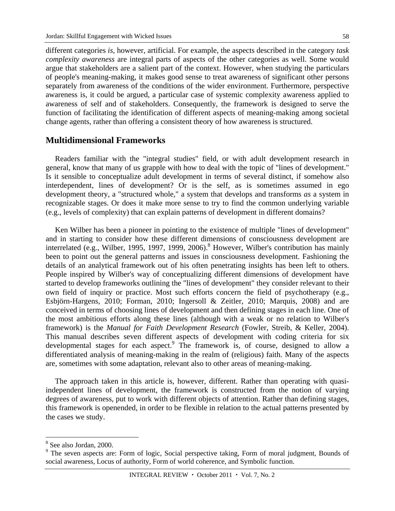different categories *is,* however, artificial. For example, the aspects described in the category *task complexity awareness* are integral parts of aspects of the other categories as well. Some would argue that stakeholders are a salient part of the context. However, when studying the particulars of people's meaning-making, it makes good sense to treat awareness of significant other persons separately from awareness of the conditions of the wider environment. Furthermore, perspective awareness is, it could be argued, a particular case of systemic complexity awareness applied to awareness of self and of stakeholders. Consequently, the framework is designed to serve the function of facilitating the identification of different aspects of meaning-making among societal change agents, rather than offering a consistent theory of how awareness is structured.

### **Multidimensional Frameworks**

Readers familiar with the "integral studies" field, or with adult development research in general, know that many of us grapple with how to deal with the topic of "lines of development." Is it sensible to conceptualize adult development in terms of several distinct, if somehow also interdependent, lines of development? Or is the self, as is sometimes assumed in ego development theory, a "structured whole," a system that develops and transforms *as* a system in recognizable stages. Or does it make more sense to try to find the common underlying variable (e.g., levels of complexity) that can explain patterns of development in different domains?

Ken Wilber has been a pioneer in pointing to the existence of multiple "lines of development" and in starting to consider how these different dimensions of consciousness development are interrelated (e.g., Wilber, 1995, 1997, 1999, 2006).<sup>8</sup> However, Wilber's contribution has mainly been to point out the general patterns and issues in consciousness development. Fashioning the details of an analytical framework out of his often penetrating insights has been left to others. People inspired by Wilber's way of conceptualizing different dimensions of development have started to develop frameworks outlining the "lines of development" they consider relevant to their own field of inquiry or practice. Most such efforts concern the field of psychotherapy (e.g., Esbjörn-Hargens, 2010; Forman, 2010; Ingersoll & Zeitler, 2010; Marquis, 2008) and are conceived in terms of choosing lines of development and then defining stages in each line. One of the most ambitious efforts along these lines (although with a weak or no relation to Wilber's framework) is the *Manual for Faith Development Research* (Fowler, Streib, & Keller, 2004). This manual describes seven different aspects of development with coding criteria for six developmental stages for each aspect.<sup>9</sup> The framework is, of course, designed to allow a differentiated analysis of meaning-making in the realm of (religious) faith. Many of the aspects are, sometimes with some adaptation, relevant also to other areas of meaning-making.

The approach taken in this article is, however, different. Rather than operating with quasiindependent lines of development, the framework is constructed from the notion of varying degrees of awareness, put to work with different objects of attention. Rather than defining stages, this framework is openended, in order to be flexible in relation to the actual patterns presented by the cases we study.

 $\overline{a}$ 

<sup>8</sup> See also Jordan, 2000.

<sup>&</sup>lt;sup>9</sup> The seven aspects are: Form of logic, Social perspective taking, Form of moral judgment, Bounds of social awareness, Locus of authority, Form of world coherence, and Symbolic function.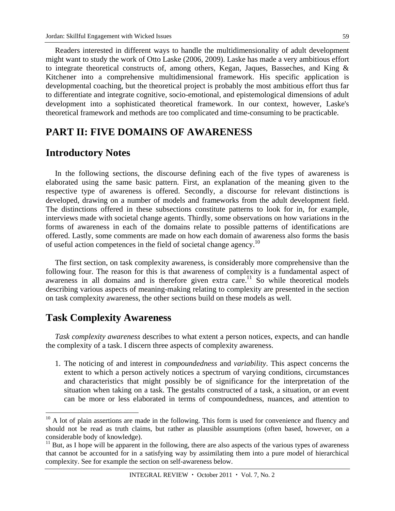Readers interested in different ways to handle the multidimensionality of adult development might want to study the work of Otto Laske (2006, 2009). Laske has made a very ambitious effort to integrate theoretical constructs of, among others, Kegan, Jaques, Basseches, and King & Kitchener into a comprehensive multidimensional framework. His specific application is developmental coaching, but the theoretical project is probably the most ambitious effort thus far to differentiate and integrate cognitive, socio-emotional, and epistemological dimensions of adult development into a sophisticated theoretical framework. In our context, however, Laske's theoretical framework and methods are too complicated and time-consuming to be practicable.

# **PART II: FIVE DOMAINS OF AWARENESS**

# **Introductory Notes**

In the following sections, the discourse defining each of the five types of awareness is elaborated using the same basic pattern. First, an explanation of the meaning given to the respective type of awareness is offered. Secondly, a discourse for relevant distinctions is developed, drawing on a number of models and frameworks from the adult development field. The distinctions offered in these subsections constitute patterns to look for in, for example, interviews made with societal change agents. Thirdly, some observations on how variations in the forms of awareness in each of the domains relate to possible patterns of identifications are offered. Lastly, some comments are made on how each domain of awareness also forms the basis of useful action competences in the field of societal change agency.<sup>10</sup>

The first section, on task complexity awareness, is considerably more comprehensive than the following four. The reason for this is that awareness of complexity is a fundamental aspect of awareness in all domains and is therefore given extra care.<sup>11</sup> So while theoretical models describing various aspects of meaning-making relating to complexity are presented in the section on task complexity awareness, the other sections build on these models as well.

# **Task Complexity Awareness**

 $\overline{a}$ 

*Task complexity awareness* describes to what extent a person notices, expects, and can handle the complexity of a task. I discern three aspects of complexity awareness.

1. The noticing of and interest in *compoundedness* and *variability*. This aspect concerns the extent to which a person actively notices a spectrum of varying conditions, circumstances and characteristics that might possibly be of significance for the interpretation of the situation when taking on a task. The gestalts constructed of a task, a situation, or an event can be more or less elaborated in terms of compoundedness, nuances, and attention to

 $10$  A lot of plain assertions are made in the following. This form is used for convenience and fluency and should not be read as truth claims, but rather as plausible assumptions (often based, however, on a considerable body of knowledge).

 $11$  But, as I hope will be apparent in the following, there are also aspects of the various types of awareness that cannot be accounted for in a satisfying way by assimilating them into a pure model of hierarchical complexity. See for example the section on self-awareness below.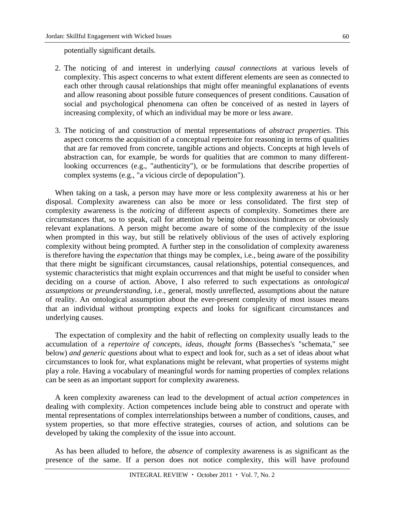potentially significant details.

- 2. The noticing of and interest in underlying *causal connections* at various levels of complexity. This aspect concerns to what extent different elements are seen as connected to each other through causal relationships that might offer meaningful explanations of events and allow reasoning about possible future consequences of present conditions. Causation of social and psychological phenomena can often be conceived of as nested in layers of increasing complexity, of which an individual may be more or less aware.
- 3. The noticing of and construction of mental representations of *abstract properties*. This aspect concerns the acquisition of a conceptual repertoire for reasoning in terms of qualities that are far removed from concrete, tangible actions and objects. Concepts at high levels of abstraction can, for example, be words for qualities that are common to many differentlooking occurrences (e.g., "authenticity"), or be formulations that describe properties of complex systems (e.g., "a vicious circle of depopulation").

When taking on a task, a person may have more or less complexity awareness at his or her disposal. Complexity awareness can also be more or less consolidated. The first step of complexity awareness is the *noticing* of different aspects of complexity. Sometimes there are circumstances that, so to speak, call for attention by being obnoxious hindrances or obviously relevant explanations. A person might become aware of some of the complexity of the issue when prompted in this way, but still be relatively oblivious of the uses of actively exploring complexity without being prompted. A further step in the consolidation of complexity awareness is therefore having the *expectation* that things may be complex, i.e., being aware of the possibility that there might be significant circumstances, causal relationships, potential consequences, and systemic characteristics that might explain occurrences and that might be useful to consider when deciding on a course of action. Above, I also referred to such expectations as *ontological assumptions* or *preunderstanding*, i.e., general, mostly unreflected, assumptions about the nature of reality. An ontological assumption about the ever-present complexity of most issues means that an individual without prompting expects and looks for significant circumstances and underlying causes.

The expectation of complexity and the habit of reflecting on complexity usually leads to the accumulation of a *repertoire of concepts, ideas, thought forms* (Basseches's "schemata," see below) *and generic questions* about what to expect and look for, such as a set of ideas about what circumstances to look for, what explanations might be relevant, what properties of systems might play a role. Having a vocabulary of meaningful words for naming properties of complex relations can be seen as an important support for complexity awareness.

A keen complexity awareness can lead to the development of actual *action competences* in dealing with complexity. Action competences include being able to construct and operate with mental representations of complex interrelationships between a number of conditions, causes, and system properties, so that more effective strategies, courses of action, and solutions can be developed by taking the complexity of the issue into account.

As has been alluded to before, the *absence* of complexity awareness is as significant as the presence of the same. If a person does not notice complexity, this will have profound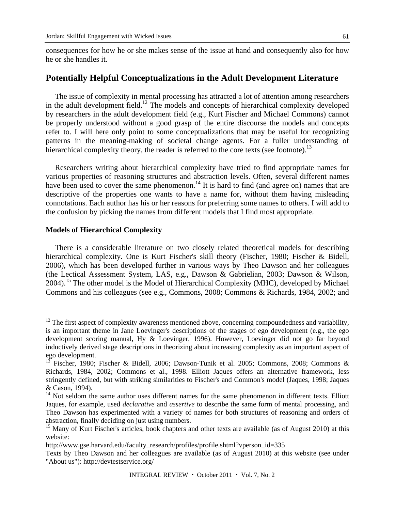consequences for how he or she makes sense of the issue at hand and consequently also for how he or she handles it.

### **Potentially Helpful Conceptualizations in the Adult Development Literature**

The issue of complexity in mental processing has attracted a lot of attention among researchers in the adult development field.<sup>12</sup> The models and concepts of hierarchical complexity developed by researchers in the adult development field (e.g., Kurt Fischer and Michael Commons) cannot be properly understood without a good grasp of the entire discourse the models and concepts refer to. I will here only point to some conceptualizations that may be useful for recognizing patterns in the meaning-making of societal change agents. For a fuller understanding of hierarchical complexity theory, the reader is referred to the core texts (see footnote).<sup>13</sup>

Researchers writing about hierarchical complexity have tried to find appropriate names for various properties of reasoning structures and abstraction levels. Often, several different names have been used to cover the same phenomenon.<sup>14</sup> It is hard to find (and agree on) names that are descriptive of the properties one wants to have a name for, without them having misleading connotations. Each author has his or her reasons for preferring some names to others. I will add to the confusion by picking the names from different models that I find most appropriate.

#### **Models of Hierarchical Complexity**

 $\overline{a}$ 

There is a considerable literature on two closely related theoretical models for describing hierarchical complexity. One is Kurt Fischer's skill theory (Fischer, 1980; Fischer & Bidell, 2006), which has been developed further in various ways by Theo Dawson and her colleagues (the Lectical Assessment System, LAS, e.g., Dawson & Gabrielian, 2003; Dawson & Wilson, 2004).15 The other model is the Model of Hierarchical Complexity (MHC), developed by Michael Commons and his colleagues (see e.g., Commons, 2008; Commons & Richards, 1984, 2002; and

 $12$  The first aspect of complexity awareness mentioned above, concerning compoundedness and variability, is an important theme in Jane Loevinger's descriptions of the stages of ego development (e.g., the ego development scoring manual, Hy & Loevinger, 1996). However, Loevinger did not go far beyond inductively derived stage descriptions in theorizing about increasing complexity as an important aspect of ego development.

<sup>13</sup> Fischer, 1980; Fischer & Bidell, 2006; Dawson-Tunik et al. 2005; Commons, 2008; Commons & Richards, 1984, 2002; Commons et al., 1998. Elliott Jaques offers an alternative framework, less stringently defined, but with striking similarities to Fischer's and Common's model (Jaques, 1998; Jaques & Cason, 1994).

 $14$  Not seldom the same author uses different names for the same phenomenon in different texts. Elliott Jaques, for example, used *declarative* and *assertive* to describe the same form of mental processing, and Theo Dawson has experimented with a variety of names for both structures of reasoning and orders of abstraction, finally deciding on just using numbers.

<sup>&</sup>lt;sup>15</sup> Many of Kurt Fischer's articles, book chapters and other texts are available (as of August 2010) at this website:

http://www.gse.harvard.edu/faculty\_research/profiles/profile.shtml?vperson\_id=335

Texts by Theo Dawson and her colleagues are available (as of August 2010) at this website (see under "About us"): http://devtestservice.org/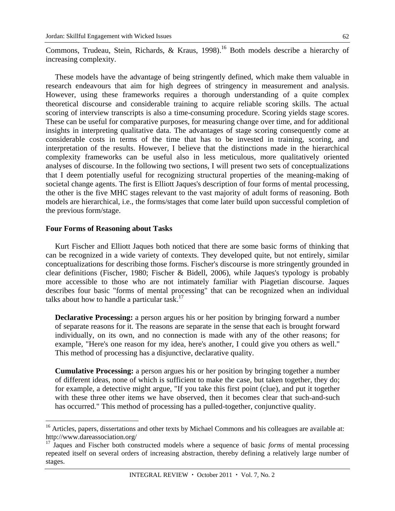Commons, Trudeau, Stein, Richards, & Kraus, 1998).<sup>16</sup> Both models describe a hierarchy of increasing complexity.

These models have the advantage of being stringently defined, which make them valuable in research endeavours that aim for high degrees of stringency in measurement and analysis. However, using these frameworks requires a thorough understanding of a quite complex theoretical discourse and considerable training to acquire reliable scoring skills. The actual scoring of interview transcripts is also a time-consuming procedure. Scoring yields stage scores. These can be useful for comparative purposes, for measuring change over time, and for additional insights in interpreting qualitative data. The advantages of stage scoring consequently come at considerable costs in terms of the time that has to be invested in training, scoring, and interpretation of the results. However, I believe that the distinctions made in the hierarchical complexity frameworks can be useful also in less meticulous, more qualitatively oriented analyses of discourse. In the following two sections, I will present two sets of conceptualizations that I deem potentially useful for recognizing structural properties of the meaning-making of societal change agents. The first is Elliott Jaques's description of four forms of mental processing, the other is the five MHC stages relevant to the vast majority of adult forms of reasoning. Both models are hierarchical, i.e., the forms/stages that come later build upon successful completion of the previous form/stage.

#### **Four Forms of Reasoning about Tasks**

 $\overline{a}$ 

Kurt Fischer and Elliott Jaques both noticed that there are some basic forms of thinking that can be recognized in a wide variety of contexts. They developed quite, but not entirely, similar conceptualizations for describing those forms. Fischer's discourse is more stringently grounded in clear definitions (Fischer, 1980; Fischer & Bidell, 2006), while Jaques's typology is probably more accessible to those who are not intimately familiar with Piagetian discourse. Jaques describes four basic "forms of mental processing" that can be recognized when an individual talks about how to handle a particular task. $^{17}$ 

**Declarative Processing:** a person argues his or her position by bringing forward a number of separate reasons for it. The reasons are separate in the sense that each is brought forward individually, on its own, and no connection is made with any of the other reasons; for example, "Here's one reason for my idea, here's another, I could give you others as well." This method of processing has a disjunctive, declarative quality.

**Cumulative Processing:** a person argues his or her position by bringing together a number of different ideas, none of which is sufficient to make the case, but taken together, they do; for example, a detective might argue, "If you take this first point (clue), and put it together with these three other items we have observed, then it becomes clear that such-and-such has occurred." This method of processing has a pulled-together, conjunctive quality.

<sup>&</sup>lt;sup>16</sup> Articles, papers, dissertations and other texts by Michael Commons and his colleagues are available at: http://www.dareassociation.org/

<sup>&</sup>lt;sup>17</sup> Jaques and Fischer both constructed models where a sequence of basic *forms* of mental processing repeated itself on several orders of increasing abstraction, thereby defining a relatively large number of stages.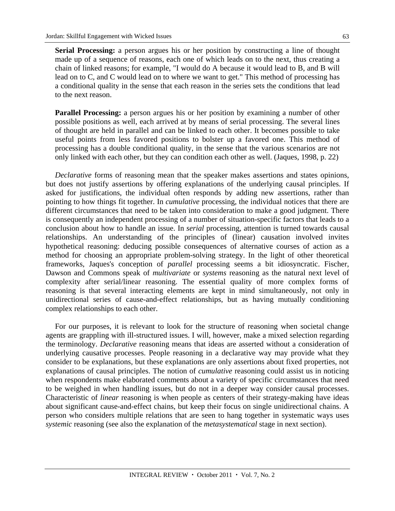**Serial Processing:** a person argues his or her position by constructing a line of thought made up of a sequence of reasons, each one of which leads on to the next, thus creating a chain of linked reasons; for example, "I would do A because it would lead to B, and B will lead on to C, and C would lead on to where we want to get." This method of processing has a conditional quality in the sense that each reason in the series sets the conditions that lead to the next reason.

**Parallel Processing:** a person argues his or her position by examining a number of other possible positions as well, each arrived at by means of serial processing. The several lines of thought are held in parallel and can be linked to each other. It becomes possible to take useful points from less favored positions to bolster up a favored one. This method of processing has a double conditional quality, in the sense that the various scenarios are not only linked with each other, but they can condition each other as well. (Jaques, 1998, p. 22)

*Declarative* forms of reasoning mean that the speaker makes assertions and states opinions, but does not justify assertions by offering explanations of the underlying causal principles. If asked for justifications, the individual often responds by adding new assertions, rather than pointing to how things fit together. In *cumulative* processing, the individual notices that there are different circumstances that need to be taken into consideration to make a good judgment. There is consequently an independent processing of a number of situation-specific factors that leads to a conclusion about how to handle an issue. In *serial* processing, attention is turned towards causal relationships. An understanding of the principles of (linear) causation involved invites hypothetical reasoning: deducing possible consequences of alternative courses of action as a method for choosing an appropriate problem-solving strategy. In the light of other theoretical frameworks, Jaques's conception of *parallel* processing seems a bit idiosyncratic. Fischer, Dawson and Commons speak of *multivariate* or *systems* reasoning as the natural next level of complexity after serial/linear reasoning. The essential quality of more complex forms of reasoning is that several interacting elements are kept in mind simultaneously, not only in unidirectional series of cause-and-effect relationships, but as having mutually conditioning complex relationships to each other.

For our purposes, it is relevant to look for the structure of reasoning when societal change agents are grappling with ill-structured issues. I will, however, make a mixed selection regarding the terminology. *Declarative* reasoning means that ideas are asserted without a consideration of underlying causative processes. People reasoning in a declarative way may provide what they consider to be explanations, but these explanations are only assertions about fixed properties, not explanations of causal principles. The notion of *cumulative* reasoning could assist us in noticing when respondents make elaborated comments about a variety of specific circumstances that need to be weighed in when handling issues, but do not in a deeper way consider causal processes. Characteristic of *linear* reasoning is when people as centers of their strategy-making have ideas about significant cause-and-effect chains, but keep their focus on single unidirectional chains. A person who considers multiple relations that are seen to hang together in systematic ways uses *systemic* reasoning (see also the explanation of the *metasystematical* stage in next section).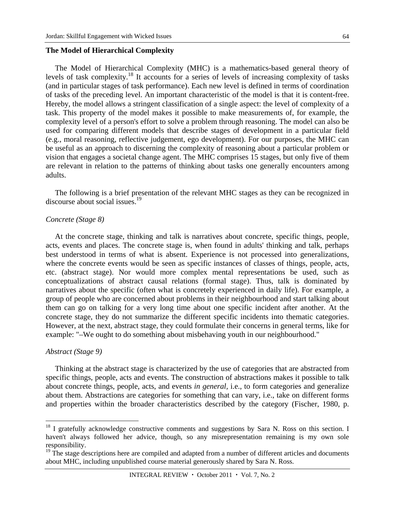#### **The Model of Hierarchical Complexity**

The Model of Hierarchical Complexity (MHC) is a mathematics-based general theory of levels of task complexity.18 It accounts for a series of levels of increasing complexity of tasks (and in particular stages of task performance). Each new level is defined in terms of coordination of tasks of the preceding level. An important characteristic of the model is that it is content-free. Hereby, the model allows a stringent classification of a single aspect: the level of complexity of a task. This property of the model makes it possible to make measurements of, for example, the complexity level of a person's effort to solve a problem through reasoning. The model can also be used for comparing different models that describe stages of development in a particular field (e.g., moral reasoning, reflective judgement, ego development). For our purposes, the MHC can be useful as an approach to discerning the complexity of reasoning about a particular problem or vision that engages a societal change agent. The MHC comprises 15 stages, but only five of them are relevant in relation to the patterns of thinking about tasks one generally encounters among adults.

The following is a brief presentation of the relevant MHC stages as they can be recognized in discourse about social issues.<sup>19</sup>

#### *Concrete (Stage 8)*

At the concrete stage, thinking and talk is narratives about concrete, specific things, people, acts, events and places. The concrete stage is, when found in adults' thinking and talk, perhaps best understood in terms of what is absent. Experience is not processed into generalizations, where the concrete events would be seen as specific instances of classes of things, people, acts, etc. (abstract stage). Nor would more complex mental representations be used, such as conceptualizations of abstract causal relations (formal stage). Thus, talk is dominated by narratives about the specific (often what is concretely experienced in daily life). For example, a group of people who are concerned about problems in their neighbourhood and start talking about them can go on talking for a very long time about one specific incident after another. At the concrete stage, they do not summarize the different specific incidents into thematic categories. However, at the next, abstract stage, they could formulate their concerns in general terms, like for example: "–We ought to do something about misbehaving youth in our neighbourhood."

#### *Abstract (Stage 9)*

 $\overline{a}$ 

Thinking at the abstract stage is characterized by the use of categories that are abstracted from specific things, people, acts and events. The construction of abstractions makes it possible to talk about concrete things, people, acts, and events *in general,* i.e., to form categories and generalize about them. Abstractions are categories for something that can vary, i.e., take on different forms and properties within the broader characteristics described by the category (Fischer, 1980, p.

 $18$  I gratefully acknowledge constructive comments and suggestions by Sara N. Ross on this section. I haven't always followed her advice, though, so any misrepresentation remaining is my own sole responsibility.

 $19$  The stage descriptions here are compiled and adapted from a number of different articles and documents about MHC, including unpublished course material generously shared by Sara N. Ross.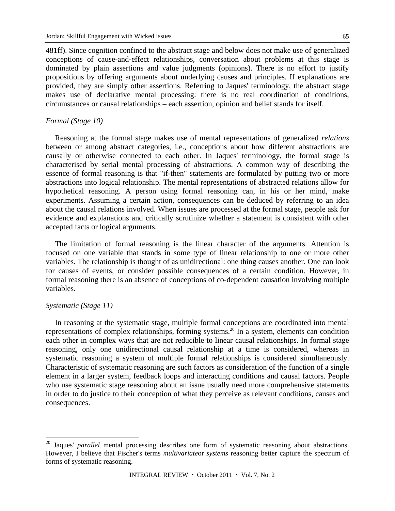481ff). Since cognition confined to the abstract stage and below does not make use of generalized conceptions of cause-and-effect relationships, conversation about problems at this stage is dominated by plain assertions and value judgments (opinions). There is no effort to justify propositions by offering arguments about underlying causes and principles. If explanations are provided, they are simply other assertions. Referring to Jaques' terminology, the abstract stage makes use of declarative mental processing: there is no real coordination of conditions, circumstances or causal relationships – each assertion, opinion and belief stands for itself.

#### *Formal (Stage 10)*

Reasoning at the formal stage makes use of mental representations of generalized *relations* between or among abstract categories, i.e., conceptions about how different abstractions are causally or otherwise connected to each other. In Jaques' terminology, the formal stage is characterised by serial mental processing of abstractions. A common way of describing the essence of formal reasoning is that "if-then" statements are formulated by putting two or more abstractions into logical relationship. The mental representations of abstracted relations allow for hypothetical reasoning. A person using formal reasoning can, in his or her mind, make experiments. Assuming a certain action, consequences can be deduced by referring to an idea about the causal relations involved. When issues are processed at the formal stage, people ask for evidence and explanations and critically scrutinize whether a statement is consistent with other accepted facts or logical arguments.

The limitation of formal reasoning is the linear character of the arguments. Attention is focused on one variable that stands in some type of linear relationship to one or more other variables. The relationship is thought of as unidirectional: one thing causes another. One can look for causes of events, or consider possible consequences of a certain condition. However, in formal reasoning there is an absence of conceptions of co-dependent causation involving multiple variables.

#### *Systematic (Stage 11)*

 $\overline{a}$ 

In reasoning at the systematic stage, multiple formal conceptions are coordinated into mental representations of complex relationships, forming systems.20 In a system, elements can condition each other in complex ways that are not reducible to linear causal relationships. In formal stage reasoning, only one unidirectional causal relationship at a time is considered, whereas in systematic reasoning a system of multiple formal relationships is considered simultaneously. Characteristic of systematic reasoning are such factors as consideration of the function of a single element in a larger system, feedback loops and interacting conditions and causal factors. People who use systematic stage reasoning about an issue usually need more comprehensive statements in order to do justice to their conception of what they perceive as relevant conditions, causes and consequences.

Jaques' *parallel* mental processing describes one form of systematic reasoning about abstractions. However, I believe that Fischer's terms *multivariate*or *systems* reasoning better capture the spectrum of forms of systematic reasoning.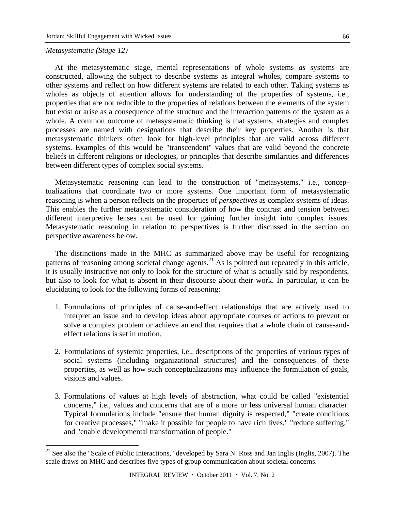#### *Metasystematic (Stage 12)*

 $\overline{a}$ 

At the metasystematic stage, mental representations of whole systems *as* systems are constructed, allowing the subject to describe systems as integral wholes, compare systems to other systems and reflect on how different systems are related to each other. Taking systems as wholes as objects of attention allows for understanding of the properties of systems, i.e., properties that are not reducible to the properties of relations between the elements of the system but exist or arise as a consequence of the structure and the interaction patterns of the system as a whole. A common outcome of metasystematic thinking is that systems, strategies and complex processes are named with designations that describe their key properties. Another is that metasystematic thinkers often look for high-level principles that are valid across different systems. Examples of this would be "transcendent" values that are valid beyond the concrete beliefs in different religions or ideologies, or principles that describe similarities and differences between different types of complex social systems.

Metasystematic reasoning can lead to the construction of "metasystems," i.e., conceptualizations that coordinate two or more systems. One important form of metasystematic reasoning is when a person reflects on the properties of *perspectives* as complex systems of ideas. This enables the further metasystematic consideration of how the contrast and tension between different interpretive lenses can be used for gaining further insight into complex issues. Metasystematic reasoning in relation to perspectives is further discussed in the section on perspective awareness below.

The distinctions made in the MHC as summarized above may be useful for recognizing patterns of reasoning among societal change agents.<sup>21</sup> As is pointed out repeatedly in this article, it is usually instructive not only to look for the structure of what is actually said by respondents, but also to look for what is absent in their discourse about their work. In particular, it can be elucidating to look for the following forms of reasoning:

- 1. Formulations of principles of cause-and-effect relationships that are actively used to interpret an issue and to develop ideas about appropriate courses of actions to prevent or solve a complex problem or achieve an end that requires that a whole chain of cause-andeffect relations is set in motion.
- 2. Formulations of systemic properties, i.e., descriptions of the properties of various types of social systems (including organizational structures) and the consequences of these properties, as well as how such conceptualizations may influence the formulation of goals, visions and values.
- 3. Formulations of values at high levels of abstraction, what could be called "existential concerns," i.e., values and concerns that are of a more or less universal human character. Typical formulations include "ensure that human dignity is respected," "create conditions for creative processes," "make it possible for people to have rich lives," "reduce suffering," and "enable developmental transformation of people."

 $21$  See also the "Scale of Public Interactions," developed by Sara N. Ross and Jan Inglis (Inglis, 2007). The scale draws on MHC and describes five types of group communication about societal concerns.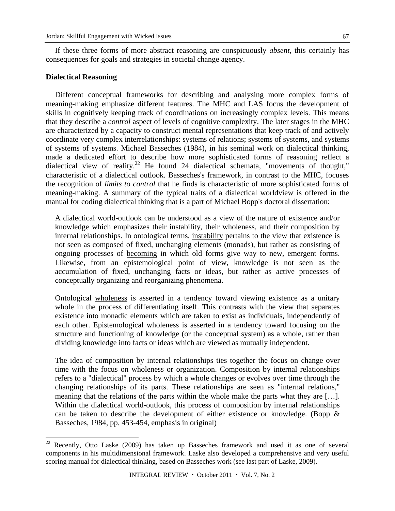If these three forms of more abstract reasoning are conspicuously *absent*, this certainly has consequences for goals and strategies in societal change agency.

#### **Dialectical Reasoning**

 $\overline{a}$ 

Different conceptual frameworks for describing and analysing more complex forms of meaning-making emphasize different features. The MHC and LAS focus the development of skills in cognitively keeping track of coordinations on increasingly complex levels. This means that they describe a *control* aspect of levels of cognitive complexity. The later stages in the MHC are characterized by a capacity to construct mental representations that keep track of and actively coordinate very complex interrelationships: systems of relations; systems of systems, and systems of systems of systems. Michael Basseches (1984), in his seminal work on dialectical thinking, made a dedicated effort to describe how more sophisticated forms of reasoning reflect a dialectical view of reality.<sup>22</sup> He found 24 dialectical schemata, "movements of thought," characteristic of a dialectical outlook. Basseches's framework, in contrast to the MHC, focuses the recognition of *limits to control* that he finds is characteristic of more sophisticated forms of meaning-making. A summary of the typical traits of a dialectical worldview is offered in the manual for coding dialectical thinking that is a part of Michael Bopp's doctoral dissertation:

A dialectical world-outlook can be understood as a view of the nature of existence and/or knowledge which emphasizes their instability, their wholeness, and their composition by internal relationships. In ontological terms, instability pertains to the view that existence is not seen as composed of fixed, unchanging elements (monads), but rather as consisting of ongoing processes of becoming in which old forms give way to new, emergent forms. Likewise, from an epistemological point of view, knowledge is not seen as the accumulation of fixed, unchanging facts or ideas, but rather as active processes of conceptually organizing and reorganizing phenomena.

Ontological wholeness is asserted in a tendency toward viewing existence as a unitary whole in the process of differentiating itself. This contrasts with the view that separates existence into monadic elements which are taken to exist as individuals, independently of each other. Epistemological wholeness is asserted in a tendency toward focusing on the structure and functioning of knowledge (or the conceptual system) as a whole, rather than dividing knowledge into facts or ideas which are viewed as mutually independent.

The idea of composition by internal relationships ties together the focus on change over time with the focus on wholeness or organization. Composition by internal relationships refers to a "dialectical" process by which a whole changes or evolves over time through the changing relationships of its parts. These relationships are seen as "internal relations," meaning that the relations of the parts within the whole make the parts what they are […]. Within the dialectical world-outlook, this process of composition by internal relationships can be taken to describe the development of either existence or knowledge. (Bopp & Basseches, 1984, pp. 453-454, emphasis in original)

Recently, Otto Laske (2009) has taken up Basseches framework and used it as one of several components in his multidimensional framework. Laske also developed a comprehensive and very useful scoring manual for dialectical thinking, based on Basseches work (see last part of Laske, 2009).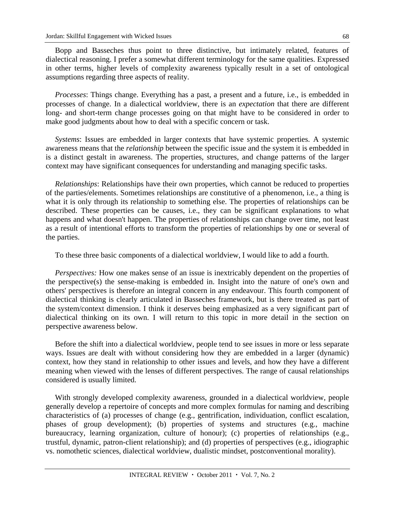Bopp and Basseches thus point to three distinctive, but intimately related, features of dialectical reasoning. I prefer a somewhat different terminology for the same qualities. Expressed in other terms, higher levels of complexity awareness typically result in a set of ontological assumptions regarding three aspects of reality.

*Processes*: Things change. Everything has a past, a present and a future, i.e., is embedded in processes of change. In a dialectical worldview, there is an *expectation* that there are different long- and short-term change processes going on that might have to be considered in order to make good judgments about how to deal with a specific concern or task.

*Systems*: Issues are embedded in larger contexts that have systemic properties. A systemic awareness means that the *relationship* between the specific issue and the system it is embedded in is a distinct gestalt in awareness. The properties, structures, and change patterns of the larger context may have significant consequences for understanding and managing specific tasks.

*Relationships*: Relationships have their own properties, which cannot be reduced to properties of the parties/elements. Sometimes relationships are constitutive of a phenomenon, i.e., a thing is what it is only through its relationship to something else. The properties of relationships can be described. These properties can be causes, i.e., they can be significant explanations to what happens and what doesn't happen. The properties of relationships can change over time, not least as a result of intentional efforts to transform the properties of relationships by one or several of the parties.

To these three basic components of a dialectical worldview, I would like to add a fourth.

*Perspectives:* How one makes sense of an issue is inextricably dependent on the properties of the perspective(s) the sense-making is embedded in. Insight into the nature of one's own and others' perspectives is therefore an integral concern in any endeavour. This fourth component of dialectical thinking is clearly articulated in Basseches framework, but is there treated as part of the system/context dimension. I think it deserves being emphasized as a very significant part of dialectical thinking on its own. I will return to this topic in more detail in the section on perspective awareness below.

Before the shift into a dialectical worldview, people tend to see issues in more or less separate ways. Issues are dealt with without considering how they are embedded in a larger (dynamic) context, how they stand in relationship to other issues and levels, and how they have a different meaning when viewed with the lenses of different perspectives. The range of causal relationships considered is usually limited.

With strongly developed complexity awareness, grounded in a dialectical worldview, people generally develop a repertoire of concepts and more complex formulas for naming and describing characteristics of (a) processes of change (e.g., gentrification, individuation, conflict escalation, phases of group development); (b) properties of systems and structures (e.g., machine bureaucracy, learning organization, culture of honour); (c) properties of relationships (e.g., trustful, dynamic, patron-client relationship); and (d) properties of perspectives (e.g., idiographic vs. nomothetic sciences, dialectical worldview, dualistic mindset, postconventional morality).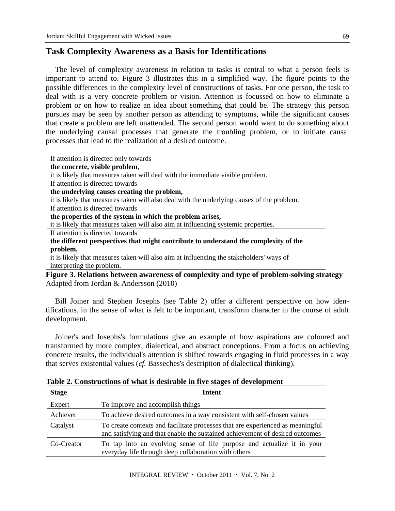### **Task Complexity Awareness as a Basis for Identifications**

The level of complexity awareness in relation to tasks is central to what a person feels is important to attend to. Figure 3 illustrates this in a simplified way. The figure points to the possible differences in the complexity level of constructions of tasks. For one person, the task to deal with is a very concrete problem or vision. Attention is focussed on how to eliminate a problem or on how to realize an idea about something that could be. The strategy this person pursues may be seen by another person as attending to symptoms, while the significant causes that create a problem are left unattended. The second person would want to do something about the underlying causal processes that generate the troubling problem, or to initiate causal processes that lead to the realization of a desired outcome.

| If attention is directed only towards                                                      |
|--------------------------------------------------------------------------------------------|
| the concrete, visible problem,                                                             |
| it is likely that measures taken will deal with the immediate visible problem.             |
| If attention is directed towards                                                           |
| the underlying causes creating the problem,                                                |
| it is likely that measures taken will also deal with the underlying causes of the problem. |
| If attention is directed towards                                                           |
| the properties of the system in which the problem arises,                                  |
| it is likely that measures taken will also aim at influencing systemic properties.         |
| If attention is directed towards                                                           |
| the different perspectives that might contribute to understand the complexity of the       |
| problem,                                                                                   |
| it is likely that measures taken will also aim at influencing the stakeholders' ways of    |
| interpreting the problem.                                                                  |
| Figure 3. Relations between awareness of complexity and type of problem-solving strategy   |
| Adapted from Jordan & Andersson (2010)                                                     |

Bill Joiner and Stephen Josephs (see Table 2) offer a different perspective on how identifications, in the sense of what is felt to be important, transform character in the course of adult development.

Joiner's and Josephs's formulations give an example of how aspirations are coloured and transformed by more complex, dialectical, and abstract conceptions. From a focus on achieving concrete results, the individual's attention is shifted towards engaging in fluid processes in a way that serves existential values (*cf.* Basseches's description of dialectical thinking).

**Table 2. Constructions of what is desirable in five stages of development** 

| <b>Stage</b> | <b>Intent</b>                                                                                                                                                  |
|--------------|----------------------------------------------------------------------------------------------------------------------------------------------------------------|
| Expert       | To improve and accomplish things                                                                                                                               |
| Achiever     | To achieve desired outcomes in a way consistent with self-chosen values                                                                                        |
| Catalyst     | To create contexts and facilitate processes that are experienced as meaningful<br>and satisfying and that enable the sustained achievement of desired outcomes |
| Co-Creator   | To tap into an evolving sense of life purpose and actualize it in your<br>everyday life through deep collaboration with others                                 |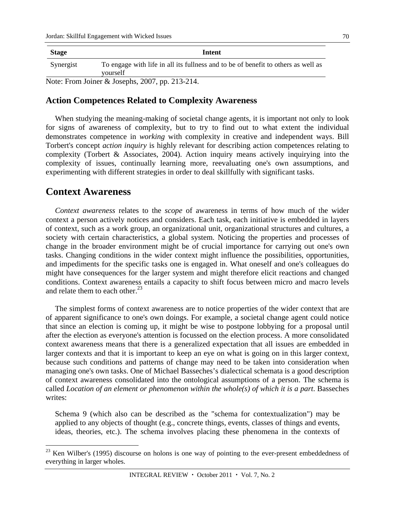| <b>Stage</b>                                    | Intent                                                                                        |
|-------------------------------------------------|-----------------------------------------------------------------------------------------------|
| Synergist                                       | To engage with life in all its fullness and to be of benefit to others as well as<br>yourself |
| Note: From Joiner & Josephs, 2007, pp. 213-214. |                                                                                               |

### **Action Competences Related to Complexity Awareness**

When studying the meaning-making of societal change agents, it is important not only to look for signs of awareness of complexity, but to try to find out to what extent the individual demonstrates competence in *working* with complexity in creative and independent ways. Bill Torbert's concept *action inquiry* is highly relevant for describing action competences relating to complexity (Torbert & Associates, 2004). Action inquiry means actively inquirying into the complexity of issues, continually learning more, reevaluating one's own assumptions, and experimenting with different strategies in order to deal skillfully with significant tasks.

## **Context Awareness**

 $\overline{a}$ 

*Context awareness* relates to the *scope* of awareness in terms of how much of the wider context a person actively notices and considers. Each task, each initiative is embedded in layers of context, such as a work group, an organizational unit, organizational structures and cultures, a society with certain characteristics, a global system. Noticing the properties and processes of change in the broader environment might be of crucial importance for carrying out one's own tasks. Changing conditions in the wider context might influence the possibilities, opportunities, and impediments for the specific tasks one is engaged in. What oneself and one's colleagues do might have consequences for the larger system and might therefore elicit reactions and changed conditions. Context awareness entails a capacity to shift focus between micro and macro levels and relate them to each other. $^{23}$ 

The simplest forms of context awareness are to notice properties of the wider context that are of apparent significance to one's own doings. For example, a societal change agent could notice that since an election is coming up, it might be wise to postpone lobbying for a proposal until after the election as everyone's attention is focussed on the election process. A more consolidated context awareness means that there is a generalized expectation that all issues are embedded in larger contexts and that it is important to keep an eye on what is going on in this larger context, because such conditions and patterns of change may need to be taken into consideration when managing one's own tasks. One of Michael Basseches's dialectical schemata is a good description of context awareness consolidated into the ontological assumptions of a person. The schema is called *Location of an element or phenomenon within the whole(s) of which it is a part*. Basseches writes:

Schema 9 (which also can be described as the "schema for contextualization") may be applied to any objects of thought (e.g., concrete things, events, classes of things and events, ideas, theories, etc.). The schema involves placing these phenomena in the contexts of

 $^{23}$  Ken Wilber's (1995) discourse on holons is one way of pointing to the ever-present embeddedness of everything in larger wholes.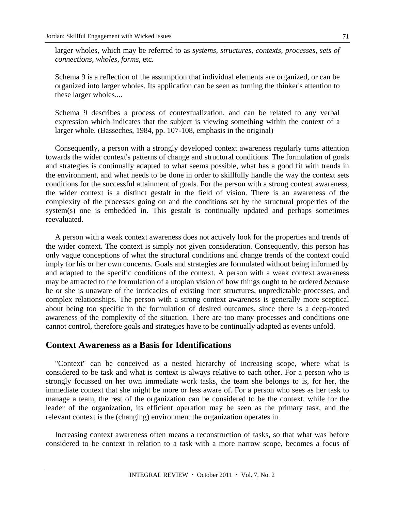larger wholes, which may be referred to as *systems, structures, contexts, processes, sets of connections, wholes, forms,* etc.

Schema 9 is a reflection of the assumption that individual elements are organized, or can be organized into larger wholes. Its application can be seen as turning the thinker's attention to these larger wholes....

Schema 9 describes a process of contextualization, and can be related to any verbal expression which indicates that the subject is viewing something within the context of a larger whole. (Basseches, 1984, pp. 107-108, emphasis in the original)

Consequently, a person with a strongly developed context awareness regularly turns attention towards the wider context's patterns of change and structural conditions. The formulation of goals and strategies is continually adapted to what seems possible, what has a good fit with trends in the environment, and what needs to be done in order to skillfully handle the way the context sets conditions for the successful attainment of goals. For the person with a strong context awareness, the wider context is a distinct gestalt in the field of vision. There is an awareness of the complexity of the processes going on and the conditions set by the structural properties of the system(s) one is embedded in. This gestalt is continually updated and perhaps sometimes reevaluated.

A person with a weak context awareness does not actively look for the properties and trends of the wider context. The context is simply not given consideration. Consequently, this person has only vague conceptions of what the structural conditions and change trends of the context could imply for his or her own concerns. Goals and strategies are formulated without being informed by and adapted to the specific conditions of the context. A person with a weak context awareness may be attracted to the formulation of a utopian vision of how things ought to be ordered *because* he or she is unaware of the intricacies of existing inert structures, unpredictable processes, and complex relationships. The person with a strong context awareness is generally more sceptical about being too specific in the formulation of desired outcomes, since there is a deep-rooted awareness of the complexity of the situation. There are too many processes and conditions one cannot control, therefore goals and strategies have to be continually adapted as events unfold.

### **Context Awareness as a Basis for Identifications**

"Context" can be conceived as a nested hierarchy of increasing scope, where what is considered to be task and what is context is always relative to each other. For a person who is strongly focussed on her own immediate work tasks, the team she belongs to is, for her, the immediate context that she might be more or less aware of. For a person who sees as her task to manage a team, the rest of the organization can be considered to be the context, while for the leader of the organization, its efficient operation may be seen as the primary task, and the relevant context is the (changing) environment the organization operates in.

Increasing context awareness often means a reconstruction of tasks, so that what was before considered to be context in relation to a task with a more narrow scope, becomes a focus of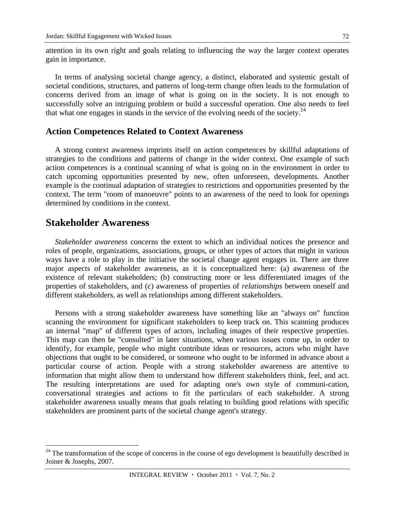attention in its own right and goals relating to influencing the way the larger context operates gain in importance.

In terms of analysing societal change agency, a distinct, elaborated and systemic gestalt of societal conditions, structures, and patterns of long-term change often leads to the formulation of concerns derived from an image of what is going on in the society. It is not enough to successfully solve an intriguing problem or build a successful operation. One also needs to feel that what one engages in stands in the service of the evolving needs of the society.<sup>24</sup>

### **Action Competences Related to Context Awareness**

A strong context awareness imprints itself on action competences by skillful adaptations of strategies to the conditions and patterns of change in the wider context. One example of such action competences is a continual scanning of what is going on in the environment in order to catch upcoming opportunities presented by new, often unforeseen, developments. Another example is the continual adaptation of strategies to restrictions and opportunities presented by the context. The term "room of manoeuvre" points to an awareness of the need to look for openings determined by conditions in the context.

# **Stakeholder Awareness**

 $\overline{a}$ 

*Stakeholder awareness* concerns the extent to which an individual notices the presence and roles of people, organizations, associations, groups, or other types of actors that might in various ways have a role to play in the initiative the societal change agent engages in. There are three major aspects of stakeholder awareness, as it is conceptualized here: (a) awareness of the existence of relevant stakeholders; (b) constructing more or less differentiated images of the properties of stakeholders, and (c) awareness of properties of *relationships* between oneself and different stakeholders, as well as relationships among different stakeholders.

Persons with a strong stakeholder awareness have something like an "always on" function scanning the environment for significant stakeholders to keep track on. This scanning produces an internal "map" of different types of actors, including images of their respective properties. This map can then be "consulted" in later situations, when various issues come up, in order to identify, for example, people who might contribute ideas or resources, actors who might have objections that ought to be considered, or someone who ought to be informed in advance about a particular course of action. People with a strong stakeholder awareness are attentive to information that might allow them to understand how different stakeholders think, feel, and act. The resulting interpretations are used for adapting one's own style of communi-cation, conversational strategies and actions to fit the particulars of each stakeholder. A strong stakeholder awareness usually means that goals relating to building good relations with specific stakeholders are prominent parts of the societal change agent's strategy.

 $24$  The transformation of the scope of concerns in the course of ego development is beautifully described in Joiner & Josephs, 2007.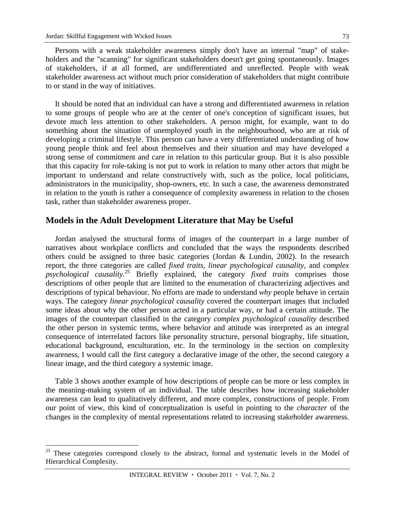$\overline{a}$ 

Persons with a weak stakeholder awareness simply don't have an internal "map" of stakeholders and the "scanning" for significant stakeholders doesn't get going spontaneously. Images of stakeholders, if at all formed, are undifferentiated and unreflected. People with weak stakeholder awareness act without much prior consideration of stakeholders that might contribute to or stand in the way of initiatives.

It should be noted that an individual can have a strong and differentiated awareness in relation to some groups of people who are at the center of one's conception of significant issues, but devote much less attention to other stakeholders. A person might, for example, want to do something about the situation of unemployed youth in the neighbourhood, who are at risk of developing a criminal lifestyle. This person can have a very differentiated understanding of how young people think and feel about themselves and their situation and may have developed a strong sense of commitment and care in relation to this particular group. But it is also possible that this capacity for role-taking is not put to work in relation to many other actors that might be important to understand and relate constructively with, such as the police, local politicians, administrators in the municipality, shop-owners, etc. In such a case, the awareness demonstrated in relation to the youth is rather a consequence of complexity awareness in relation to the chosen task, rather than stakeholder awareness proper.

### **Models in the Adult Development Literature that May be Useful**

Jordan analysed the structural forms of images of the counterpart in a large number of narratives about workplace conflicts and concluded that the ways the respondents described others could be assigned to three basic categories (Jordan & Lundin, 2002). In the research report, the three categories are called *fixed traits, linear psychological causality,* and *complex psychological causality.*<sup>25</sup> Briefly explained, the category *fixed traits* comprises those descriptions of other people that are limited to the enumeration of characterizing adjectives and descriptions of typical behaviour. No efforts are made to understand *why* people behave in certain ways. The category *linear psychological causality* covered the counterpart images that included some ideas about why the other person acted in a particular way, or had a certain attitude. The images of the counterpart classified in the category *complex psychological causality* described the other person in systemic terms, where behavior and attitude was interpreted as an integral consequence of interrelated factors like personality structure, personal biography, life situation, educational background, enculturation, etc. In the terminology in the section on complexity awareness, I would call the first category a declarative image of the other, the second category a linear image, and the third category a systemic image.

Table 3 shows another example of how descriptions of people can be more or less complex in the meaning-making system of an individual. The table describes how increasing stakeholder awareness can lead to qualitatively different, and more complex, constructions of people. From our point of view, this kind of conceptualization is useful in pointing to the *character* of the changes in the complexity of mental representations related to increasing stakeholder awareness.

 $25$  These categories correspond closely to the abstract, formal and systematic levels in the Model of Hierarchical Complexity.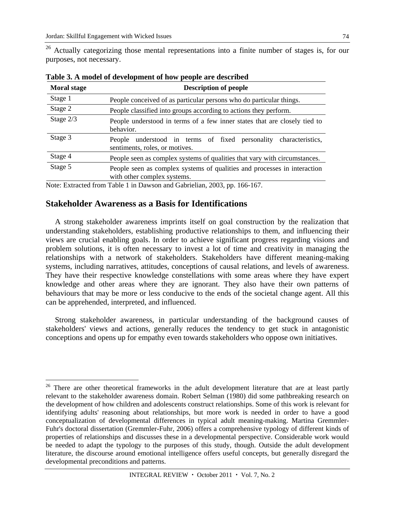$\overline{a}$ 

<sup>26</sup> Actually categorizing those mental representations into a finite number of stages is, for our purposes, not necessary.

| <b>Moral stage</b> | <b>Description of people</b>                                                                            |  |
|--------------------|---------------------------------------------------------------------------------------------------------|--|
| Stage 1            | People conceived of as particular persons who do particular things.                                     |  |
| Stage 2            | People classified into groups according to actions they perform.                                        |  |
| Stage 2/3          | People understood in terms of a few inner states that are closely tied to<br>behavior.                  |  |
| Stage 3            | understood in terms of fixed personality characteristics,<br>People<br>sentiments, roles, or motives.   |  |
| Stage 4            | People seen as complex systems of qualities that vary with circumstances.                               |  |
| Stage 5            | People seen as complex systems of qualities and processes in interaction<br>with other complex systems. |  |

**Table 3. A model of development of how people are described** 

Note: Extracted from Table 1 in Dawson and Gabrielian, 2003, pp. 166-167.

### **Stakeholder Awareness as a Basis for Identifications**

A strong stakeholder awareness imprints itself on goal construction by the realization that understanding stakeholders, establishing productive relationships to them, and influencing their views are crucial enabling goals. In order to achieve significant progress regarding visions and problem solutions, it is often necessary to invest a lot of time and creativity in managing the relationships with a network of stakeholders. Stakeholders have different meaning-making systems, including narratives, attitudes, conceptions of causal relations, and levels of awareness. They have their respective knowledge constellations with some areas where they have expert knowledge and other areas where they are ignorant. They also have their own patterns of behaviours that may be more or less conducive to the ends of the societal change agent. All this can be apprehended, interpreted, and influenced.

Strong stakeholder awareness, in particular understanding of the background causes of stakeholders' views and actions, generally reduces the tendency to get stuck in antagonistic conceptions and opens up for empathy even towards stakeholders who oppose own initiatives.

 $26$  There are other theoretical frameworks in the adult development literature that are at least partly relevant to the stakeholder awareness domain. Robert Selman (1980) did some pathbreaking research on the development of how children and adolescents construct relationships. Some of this work is relevant for identifying adults' reasoning about relationships, but more work is needed in order to have a good conceptualization of developmental differences in typical adult meaning-making. Martina Gremmler-Fuhr's doctoral dissertation (Gremmler-Fuhr, 2006) offers a comprehensive typology of different kinds of properties of relationships and discusses these in a developmental perspective. Considerable work would be needed to adapt the typology to the purposes of this study, though. Outside the adult development literature, the discourse around emotional intelligence offers useful concepts, but generally disregard the developmental preconditions and patterns.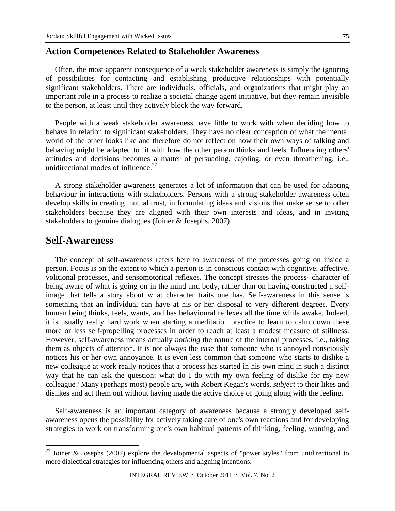### **Action Competences Related to Stakeholder Awareness**

Often, the most apparent consequence of a weak stakeholder awareness is simply the ignoring of possibilities for contacting and establishing productive relationships with potentially significant stakeholders. There are individuals, officials, and organizations that might play an important role in a process to realize a societal change agent initiative, but they remain invisible to the person, at least until they actively block the way forward.

People with a weak stakeholder awareness have little to work with when deciding how to behave in relation to significant stakeholders. They have no clear conception of what the mental world of the other looks like and therefore do not reflect on how their own ways of talking and behaving might be adapted to fit with how the other person thinks and feels. Influencing others' attitudes and decisions becomes a matter of persuading, cajoling, or even threathening, i.e., unidirectional modes of influence. $27$ 

A strong stakeholder awareness generates a lot of information that can be used for adapting behaviour in interactions with stakeholders. Persons with a strong stakeholder awareness often develop skills in creating mutual trust, in formulating ideas and visions that make sense to other stakeholders because they are aligned with their own interests and ideas, and in inviting stakeholders to genuine dialogues (Joiner & Josephs, 2007).

### **Self-Awareness**

 $\overline{a}$ 

The concept of self-awareness refers here to awareness of the processes going on inside a person. Focus is on the extent to which a person is in conscious contact with cognitive, affective, volitional processes, and sensomotorical reflexes. The concept stresses the process- character of being aware of what is going on in the mind and body, rather than on having constructed a selfimage that tells a story about what character traits one has. Self-awareness in this sense is something that an individual can have at his or her disposal to very different degrees. Every human being thinks, feels, wants, and has behavioural reflexes all the time while awake. Indeed, it is usually really hard work when starting a meditation practice to learn to calm down these more or less self-propelling processes in order to reach at least a modest measure of stillness. However, self-awareness means actually *noticing* the nature of the internal processes, i.e., taking them as objects of attention. It is not always the case that someone who is annoyed consciously notices his or her own annoyance. It is even less common that someone who starts to dislike a new colleague at work really notices that a process has started in his own mind in such a distinct way that he can ask the question: what do I do with my own feeling of dislike for my new colleague? Many (perhaps most) people are, with Robert Kegan's words, *subject* to their likes and dislikes and act them out without having made the active choice of going along with the feeling.

Self-awareness is an important category of awareness because a strongly developed selfawareness opens the possibility for actively taking care of one's own reactions and for developing strategies to work on transforming one's own habitual patterns of thinking, feeling, wanting, and

<sup>&</sup>lt;sup>27</sup> Joiner & Josephs (2007) explore the developmental aspects of "power styles" from unidirectional to more dialectical strategies for influencing others and aligning intentions.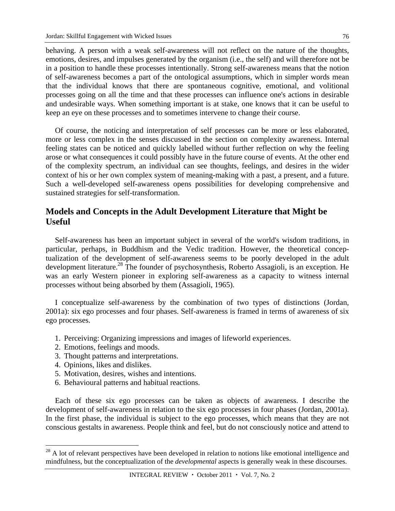behaving. A person with a weak self-awareness will not reflect on the nature of the thoughts, emotions, desires, and impulses generated by the organism (i.e., the self) and will therefore not be in a position to handle these processes intentionally. Strong self-awareness means that the notion of self-awareness becomes a part of the ontological assumptions, which in simpler words mean that the individual knows that there are spontaneous cognitive, emotional, and volitional processes going on all the time and that these processes can influence one's actions in desirable and undesirable ways. When something important is at stake, one knows that it can be useful to keep an eye on these processes and to sometimes intervene to change their course.

Of course, the noticing and interpretation of self processes can be more or less elaborated, more or less complex in the senses discussed in the section on complexity awareness. Internal feeling states can be noticed and quickly labelled without further reflection on why the feeling arose or what consequences it could possibly have in the future course of events. At the other end of the complexity spectrum, an individual can see thoughts, feelings, and desires in the wider context of his or her own complex system of meaning-making with a past, a present, and a future. Such a well-developed self-awareness opens possibilities for developing comprehensive and sustained strategies for self-transformation.

# **Models and Concepts in the Adult Development Literature that Might be Useful**

Self-awareness has been an important subject in several of the world's wisdom traditions, in particular, perhaps, in Buddhism and the Vedic tradition. However, the theoretical conceptualization of the development of self-awareness seems to be poorly developed in the adult development literature.<sup>28</sup> The founder of psychosynthesis, Roberto Assagioli, is an exception. He was an early Western pioneer in exploring self-awareness as a capacity to witness internal processes without being absorbed by them (Assagioli, 1965).

I conceptualize self-awareness by the combination of two types of distinctions (Jordan, 2001a): six ego processes and four phases. Self-awareness is framed in terms of awareness of six ego processes.

- 1. Perceiving: Organizing impressions and images of lifeworld experiences.
- 2. Emotions, feelings and moods.
- 3. Thought patterns and interpretations.
- 4. Opinions, likes and dislikes.

 $\overline{a}$ 

- 5. Motivation, desires, wishes and intentions.
- 6. Behavioural patterns and habitual reactions.

Each of these six ego processes can be taken as objects of awareness. I describe the development of self-awareness in relation to the six ego processes in four phases (Jordan, 2001a). In the first phase, the individual is subject to the ego processes, which means that they are not conscious gestalts in awareness. People think and feel, but do not consciously notice and attend to

 $^{28}$  A lot of relevant perspectives have been developed in relation to notions like emotional intelligence and mindfulness, but the conceptualization of the *developmental* aspects is generally weak in these discourses.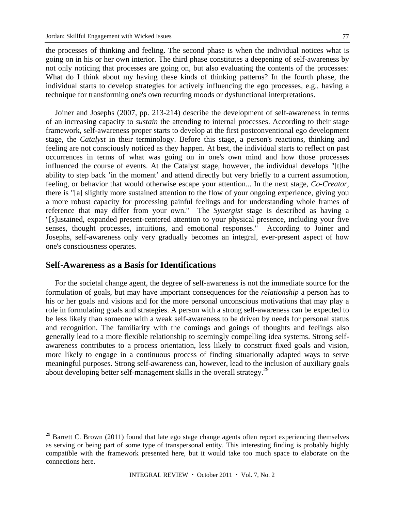the processes of thinking and feeling. The second phase is when the individual notices what is going on in his or her own interior. The third phase constitutes a deepening of self-awareness by not only noticing that processes are going on, but also evaluating the contents of the processes: What do I think about my having these kinds of thinking patterns? In the fourth phase, the individual starts to develop strategies for actively influencing the ego processes, e.g., having a technique for transforming one's own recurring moods or dysfunctional interpretations.

Joiner and Josephs (2007, pp. 213-214) describe the development of self-awareness in terms of an increasing capacity to *sustain* the attending to internal processes. According to their stage framework, self-awareness proper starts to develop at the first postconventional ego development stage, the *Catalyst* in their terminology. Before this stage, a person's reactions, thinking and feeling are not consciously noticed as they happen. At best, the individual starts to reflect on past occurrences in terms of what was going on in one's own mind and how those processes influenced the course of events. At the Catalyst stage, however, the individual develops "[t]he ability to step back 'in the moment' and attend directly but very briefly to a current assumption, feeling, or behavior that would otherwise escape your attention... In the next stage, *Co-Creator,* there is "[a] slightly more sustained attention to the flow of your ongoing experience, giving you a more robust capacity for processing painful feelings and for understanding whole frames of reference that may differ from your own." The *Synergist* stage is described as having a "[s]ustained, expanded present-centered attention to your physical presence, including your five senses, thought processes, intuitions, and emotional responses." According to Joiner and Josephs, self-awareness only very gradually becomes an integral, ever-present aspect of how one's consciousness operates.

## **Self-Awareness as a Basis for Identifications**

 $\overline{a}$ 

For the societal change agent, the degree of self-awareness is not the immediate source for the formulation of goals, but may have important consequences for the *relationship* a person has to his or her goals and visions and for the more personal unconscious motivations that may play a role in formulating goals and strategies. A person with a strong self-awareness can be expected to be less likely than someone with a weak self-awareness to be driven by needs for personal status and recognition. The familiarity with the comings and goings of thoughts and feelings also generally lead to a more flexible relationship to seemingly compelling idea systems. Strong selfawareness contributes to a process orientation, less likely to construct fixed goals and vision, more likely to engage in a continuous process of finding situationally adapted ways to serve meaningful purposes. Strong self-awareness can, however, lead to the inclusion of auxiliary goals about developing better self-management skills in the overall strategy.<sup>29</sup>

<sup>&</sup>lt;sup>29</sup> Barrett C. Brown (2011) found that late ego stage change agents often report experiencing themselves as serving or being part of some type of transpersonal entity. This interesting finding is probably highly compatible with the framework presented here, but it would take too much space to elaborate on the connections here.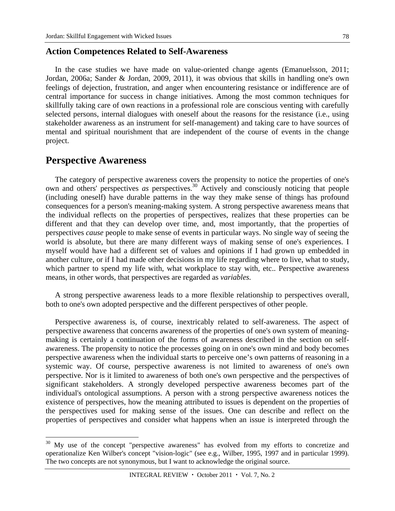#### **Action Competences Related to Self-Awareness**

In the case studies we have made on value-oriented change agents (Emanuelsson, 2011; Jordan, 2006a; Sander & Jordan, 2009, 2011), it was obvious that skills in handling one's own feelings of dejection, frustration, and anger when encountering resistance or indifference are of central importance for success in change initiatives. Among the most common techniques for skillfully taking care of own reactions in a professional role are conscious venting with carefully selected persons, internal dialogues with oneself about the reasons for the resistance (i.e., using stakeholder awareness as an instrument for self-management) and taking care to have sources of mental and spiritual nourishment that are independent of the course of events in the change project.

## **Perspective Awareness**

 $\overline{a}$ 

The category of perspective awareness covers the propensity to notice the properties of one's own and others' perspectives *as* perspectives.30 Actively and consciously noticing that people (including oneself) have durable patterns in the way they make sense of things has profound consequences for a person's meaning-making system. A strong perspective awareness means that the individual reflects on the properties of perspectives, realizes that these properties can be different and that they can develop over time, and, most importantly, that the properties of perspectives *cause* people to make sense of events in particular ways. No single way of seeing the world is absolute, but there are many different ways of making sense of one's experiences. I myself would have had a different set of values and opinions if I had grown up embedded in another culture, or if I had made other decisions in my life regarding where to live, what to study, which partner to spend my life with, what workplace to stay with, etc.. Perspective awareness means, in other words, that perspectives are regarded as *variables.*

A strong perspective awareness leads to a more flexible relationship to perspectives overall, both to one's own adopted perspective and the different perspectives of other people.

Perspective awareness is, of course, inextricably related to self-awareness. The aspect of perspective awareness that concerns awareness of the properties of one's own system of meaningmaking is certainly a continuation of the forms of awareness described in the section on selfawareness. The propensity to notice the processes going on in one's own mind and body becomes perspective awareness when the individual starts to perceive one's own patterns of reasoning in a systemic way. Of course, perspective awareness is not limited to awareness of one's own perspective. Nor is it limited to awareness of both one's own perspective and the perspectives of significant stakeholders. A strongly developed perspective awareness becomes part of the individual's ontological assumptions. A person with a strong perspective awareness notices the existence of perspectives, how the meaning attributed to issues is dependent on the properties of the perspectives used for making sense of the issues. One can describe and reflect on the properties of perspectives and consider what happens when an issue is interpreted through the

My use of the concept "perspective awareness" has evolved from my efforts to concretize and operationalize Ken Wilber's concept "vision-logic" (see e.g., Wilber, 1995, 1997 and in particular 1999). The two concepts are not synonymous, but I want to acknowledge the original source.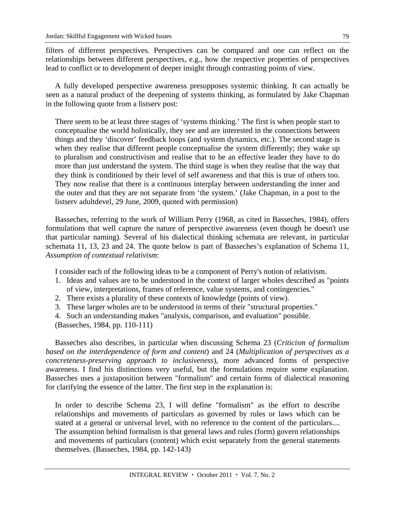filters of different perspectives. Perspectives can be compared and one can reflect on the relationships between different perspectives, e.g., how the respective properties of perspectives lead to conflict or to development of deeper insight through contrasting points of view.

A fully developed perspective awareness presupposes systemic thinking. It can actually be seen as a natural product of the deepening of systems thinking, as formulated by Jake Chapman in the following quote from a listserv post:

There seem to be at least three stages of 'systems thinking.' The first is when people start to conceptualise the world holistically, they see and are interested in the connections between things and they 'discover' feedback loops (and system dynamics, etc.). The second stage is when they realise that different people conceptualise the system differently; they wake up to pluralism and constructivism and realise that to be an effective leader they have to do more than just understand the system. The third stage is when they realise that the way that they think is conditioned by their level of self awareness and that this is true of others too. They now realise that there is a continuous interplay between understanding the inner and the outer and that they are not separate from 'the system.' (Jake Chapman, in a post to the listserv adultdevel, 29 June, 2009, quoted with permission)

Basseches, referring to the work of William Perry (1968, as cited in Basseches, 1984), offers formulations that well capture the nature of perspective awareness (even though he doesn't use that particular naming). Several of his dialectical thinking schemata are relevant, in particular schemata 11, 13, 23 and 24. The quote below is part of Basseches's explanation of Schema 11, *Assumption of contextual relativism*:

I consider each of the following ideas to be a component of Perry's notion of relativism.

- 1. Ideas and values are to be understood in the context of larger wholes described as "points of view, interpretations, frames of reference, value systems, and contingencies."
- 2. There exists a plurality of these contexts of knowledge (points of view).
- 3. These larger wholes are to be understood in terms of their "structural properties."
- 4. Such an understanding makes "analysis, comparison, and evaluation" possible.
- (Basseches, 1984, pp. 110-111)

Basseches also describes, in particular when discussing Schema 23 (*Criticism of formalism based on the interdependence of form and content*) and 24 (*Multiplication of perspectives as a concreteness-preserving approach to inclusiveness*), more advanced forms of perspective awareness. I find his distinctions very useful, but the formulations require some explanation. Basseches uses a juxtaposition between "formalism" and certain forms of dialectical reasoning for clarifying the essence of the latter. The first step in the explanation is:

In order to describe Schema 23, I will define "formalism" as the effort to describe relationships and movements of particulars as governed by rules or laws which can be stated at a general or universal level, with no reference to the content of the particulars.... The assumption behind formalism is that general laws and rules (form) govern relationships and movements of particulars (content) which exist separately from the general statements themselves. (Basseches, 1984, pp. 142-143)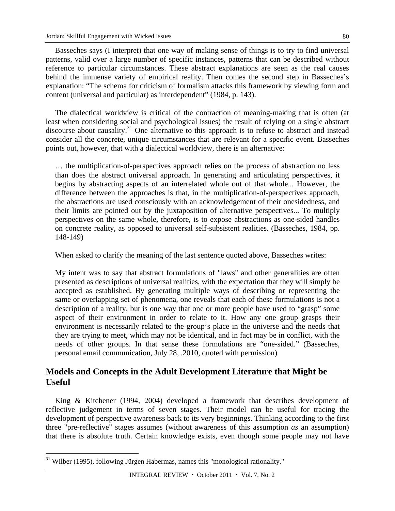Basseches says (I interpret) that one way of making sense of things is to try to find universal patterns, valid over a large number of specific instances, patterns that can be described without reference to particular circumstances. These abstract explanations are seen as the real causes behind the immense variety of empirical reality. Then comes the second step in Basseches's explanation: "The schema for criticism of formalism attacks this framework by viewing form and content (universal and particular) as interdependent" (1984, p. 143).

The dialectical worldview is critical of the contraction of meaning-making that is often (at least when considering social and psychological issues) the result of relying on a single abstract discourse about causality.<sup>31</sup> One alternative to this approach is to refuse to abstract and instead consider all the concrete, unique circumstances that are relevant for a specific event. Basseches points out, however, that with a dialectical worldview, there is an alternative:

… the multiplication-of-perspectives approach relies on the process of abstraction no less than does the abstract universal approach. In generating and articulating perspectives, it begins by abstracting aspects of an interrelated whole out of that whole... However, the difference between the approaches is that, in the multiplication-of-perspectives approach, the abstractions are used consciously with an acknowledgement of their onesidedness, and their limits are pointed out by the juxtaposition of alternative perspectives... To multiply perspectives on the same whole, therefore, is to expose abstractions as one-sided handles on concrete reality, as opposed to universal self-subsistent realities. (Basseches, 1984, pp. 148-149)

When asked to clarify the meaning of the last sentence quoted above, Basseches writes:

My intent was to say that abstract formulations of "laws" and other generalities are often presented as descriptions of universal realities, with the expectation that they will simply be accepted as established. By generating multiple ways of describing or representing the same or overlapping set of phenomena, one reveals that each of these formulations is not a description of a reality, but is one way that one or more people have used to "grasp" some aspect of their environment in order to relate to it. How any one group grasps their environment is necessarily related to the group's place in the universe and the needs that they are trying to meet, which may not be identical, and in fact may be in conflict, with the needs of other groups. In that sense these formulations are "one-sided." (Basseches, personal email communication, July 28, .2010, quoted with permission)

# **Models and Concepts in the Adult Development Literature that Might be Useful**

King & Kitchener (1994, 2004) developed a framework that describes development of reflective judgement in terms of seven stages. Their model can be useful for tracing the development of perspective awareness back to its very beginnings. Thinking according to the first three "pre-reflective" stages assumes (without awareness of this assumption *as* an assumption) that there is absolute truth. Certain knowledge exists, even though some people may not have

 $\overline{a}$ <sup>31</sup> Wilber (1995), following Jürgen Habermas, names this "monological rationality."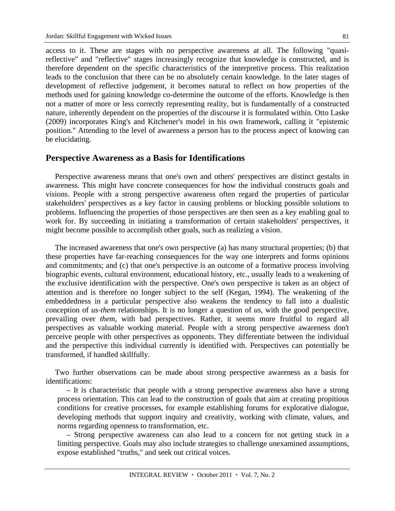access to it. These are stages with no perspective awareness at all. The following "quasireflective" and "reflective" stages increasingly recognize that knowledge is constructed, and is therefore dependent on the specific characteristics of the interpretive process. This realization leads to the conclusion that there can be no absolutely certain knowledge. In the later stages of development of reflective judgement, it becomes natural to reflect on how properties of the methods used for gaining knowledge co-determine the outcome of the efforts. Knowledge is then not a matter of more or less correctly representing reality, but is fundamentally of a constructed nature, inherently dependent on the properties of the discourse it is formulated within. Otto Laske (2009) incorporates King's and Kitchener's model in his own framework, calling it "epistemic position." Attending to the level of awareness a person has to the process aspect of knowing can be elucidating.

### **Perspective Awareness as a Basis for Identifications**

Perspective awareness means that one's own and others' perspectives are distinct gestalts in awareness. This might have concrete consequences for how the individual constructs goals and visions. People with a strong perspective awareness often regard the properties of particular stakeholders' perspectives as a key factor in causing problems or blocking possible solutions to problems. Influencing the properties of those perspectives are then seen as a key enabling goal to work for. By succeeding in initiating a transformation of certain stakeholders' perspectives, it might become possible to accomplish other goals, such as realizing a vision.

The increased awareness that one's own perspective (a) has many structural properties; (b) that these properties have far-reaching consequences for the way one interprets and forms opinions and commitments; and (c) that one's perspective is an outcome of a formative process involving biographic events, cultural environment, educational history, etc., usually leads to a weakening of the exclusive identification with the perspective. One's own perspective is taken as an object of attention and is therefore no longer subject to the self (Kegan, 1994). The weakening of the embeddedness in a particular perspective also weakens the tendency to fall into a dualistic conception of *us-them* relationships. It is no longer a question of *us,* with the good perspective, prevailing over *them*, with bad perspectives. Rather, it seems more fruitful to regard all perspectives as valuable working material. People with a strong perspective awareness don't perceive people with other perspectives as opponents. They differentiate between the individual and the perspective this individual currently is identified with. Perspectives can potentially be transformed, if handled skillfully.

Two further observations can be made about strong perspective awareness as a basis for identifications:

– It is characteristic that people with a strong perspective awareness also have a strong process orientation. This can lead to the construction of goals that aim at creating propitious conditions for creative processes, for example establishing forums for explorative dialogue, developing methods that support inquiry and creativity, working with climate, values, and norms regarding openness to transformation, etc.

– Strong perspective awareness can also lead to a concern for not getting stuck in a limiting perspective. Goals may also include strategies to challenge unexamined assumptions, expose established "truths," and seek out critical voices.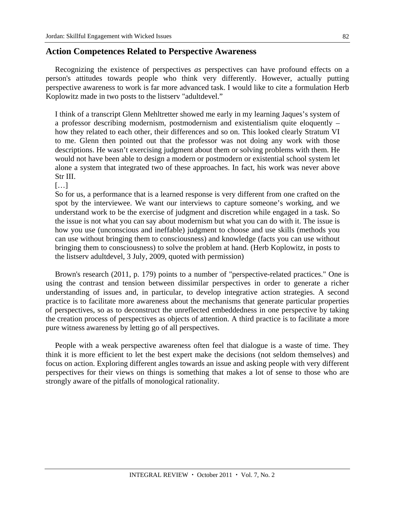### **Action Competences Related to Perspective Awareness**

Recognizing the existence of perspectives *as* perspectives can have profound effects on a person's attitudes towards people who think very differently. However, actually putting perspective awareness to work is far more advanced task. I would like to cite a formulation Herb Koplowitz made in two posts to the listserv "adultdevel."

I think of a transcript Glenn Mehltretter showed me early in my learning Jaques's system of a professor describing modernism, postmodernism and existentialism quite eloquently – how they related to each other, their differences and so on. This looked clearly Stratum VI to me. Glenn then pointed out that the professor was not doing any work with those descriptions. He wasn't exercising judgment about them or solving problems with them. He would not have been able to design a modern or postmodern or existential school system let alone a system that integrated two of these approaches. In fact, his work was never above Str III.

 $[...]$ 

So for us, a performance that is a learned response is very different from one crafted on the spot by the interviewee. We want our interviews to capture someone's working, and we understand work to be the exercise of judgment and discretion while engaged in a task. So the issue is not what you can say about modernism but what you can do with it. The issue is how you use (unconscious and ineffable) judgment to choose and use skills (methods you can use without bringing them to consciousness) and knowledge (facts you can use without bringing them to consciousness) to solve the problem at hand. (Herb Koplowitz, in posts to the listserv adultdevel, 3 July, 2009, quoted with permission)

Brown's research (2011, p. 179) points to a number of "perspective-related practices." One is using the contrast and tension between dissimilar perspectives in order to generate a richer understanding of issues and, in particular, to develop integrative action strategies. A second practice is to facilitate more awareness about the mechanisms that generate particular properties of perspectives, so as to deconstruct the unreflected embeddedness in one perspective by taking the creation process of perspectives as objects of attention. A third practice is to facilitate a more pure witness awareness by letting go of all perspectives.

People with a weak perspective awareness often feel that dialogue is a waste of time. They think it is more efficient to let the best expert make the decisions (not seldom themselves) and focus on action. Exploring different angles towards an issue and asking people with very different perspectives for their views on things is something that makes a lot of sense to those who are strongly aware of the pitfalls of monological rationality.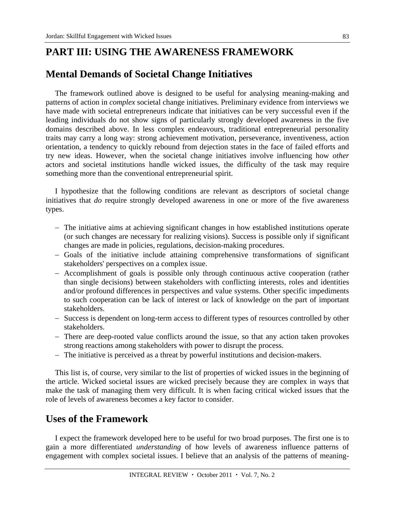# **PART III: USING THE AWARENESS FRAMEWORK**

# **Mental Demands of Societal Change Initiatives**

The framework outlined above is designed to be useful for analysing meaning-making and patterns of action in *complex* societal change initiatives. Preliminary evidence from interviews we have made with societal entrepreneurs indicate that initiatives can be very successful even if the leading individuals do not show signs of particularly strongly developed awareness in the five domains described above. In less complex endeavours, traditional entrepreneurial personality traits may carry a long way: strong achievement motivation, perseverance, inventiveness, action orientation, a tendency to quickly rebound from dejection states in the face of failed efforts and try new ideas. However, when the societal change initiatives involve influencing how *other* actors and societal institutions handle wicked issues, the difficulty of the task may require something more than the conventional entrepreneurial spirit.

I hypothesize that the following conditions are relevant as descriptors of societal change initiatives that *do* require strongly developed awareness in one or more of the five awareness types.

- The initiative aims at achieving significant changes in how established institutions operate (or such changes are necessary for realizing visions). Success is possible only if significant changes are made in policies, regulations, decision-making procedures.
- Goals of the initiative include attaining comprehensive transformations of significant stakeholders' perspectives on a complex issue.
- Accomplishment of goals is possible only through continuous active cooperation (rather than single decisions) between stakeholders with conflicting interests, roles and identities and/or profound differences in perspectives and value systems. Other specific impediments to such cooperation can be lack of interest or lack of knowledge on the part of important stakeholders.
- Success is dependent on long-term access to different types of resources controlled by other stakeholders.
- There are deep-rooted value conflicts around the issue, so that any action taken provokes strong reactions among stakeholders with power to disrupt the process.
- The initiative is perceived as a threat by powerful institutions and decision-makers.

This list is, of course, very similar to the list of properties of wicked issues in the beginning of the article. Wicked societal issues are wicked precisely because they are complex in ways that make the task of managing them very difficult. It is when facing critical wicked issues that the role of levels of awareness becomes a key factor to consider.

# **Uses of the Framework**

I expect the framework developed here to be useful for two broad purposes. The first one is to gain a more differentiated *understanding* of how levels of awareness influence patterns of engagement with complex societal issues. I believe that an analysis of the patterns of meaning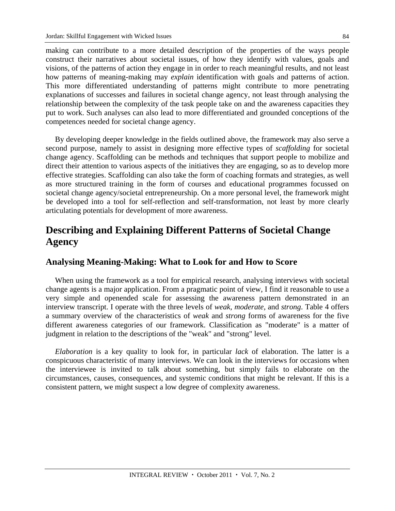making can contribute to a more detailed description of the properties of the ways people construct their narratives about societal issues, of how they identify with values, goals and visions, of the patterns of action they engage in in order to reach meaningful results, and not least how patterns of meaning-making may *explain* identification with goals and patterns of action. This more differentiated understanding of patterns might contribute to more penetrating explanations of successes and failures in societal change agency, not least through analysing the relationship between the complexity of the task people take on and the awareness capacities they put to work. Such analyses can also lead to more differentiated and grounded conceptions of the competences needed for societal change agency.

By developing deeper knowledge in the fields outlined above, the framework may also serve a second purpose, namely to assist in designing more effective types of *scaffolding* for societal change agency. Scaffolding can be methods and techniques that support people to mobilize and direct their attention to various aspects of the initiatives they are engaging, so as to develop more effective strategies. Scaffolding can also take the form of coaching formats and strategies, as well as more structured training in the form of courses and educational programmes focussed on societal change agency/societal entrepreneurship. On a more personal level, the framework might be developed into a tool for self-reflection and self-transformation, not least by more clearly articulating potentials for development of more awareness.

# **Describing and Explaining Different Patterns of Societal Change Agency**

### **Analysing Meaning-Making: What to Look for and How to Score**

When using the framework as a tool for empirical research, analysing interviews with societal change agents is a major application. From a pragmatic point of view, I find it reasonable to use a very simple and openended scale for assessing the awareness pattern demonstrated in an interview transcript. I operate with the three levels of *weak, moderate,* and *strong*. Table 4 offers a summary overview of the characteristics of *weak* and *strong* forms of awareness for the five different awareness categories of our framework. Classification as "moderate" is a matter of judgment in relation to the descriptions of the "weak" and "strong" level.

*Elaboration* is a key quality to look for, in particular *lack* of elaboration. The latter is a conspicuous characteristic of many interviews. We can look in the interviews for occasions when the interviewee is invited to talk about something, but simply fails to elaborate on the circumstances, causes, consequences, and systemic conditions that might be relevant. If this is a consistent pattern, we might suspect a low degree of complexity awareness.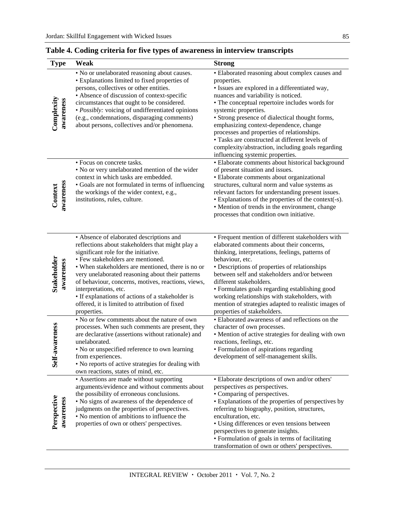| <b>Type</b>              | Weak                                                                                                                                                                                                                                                                                                                                                                                                                                                                                   | <b>Strong</b>                                                                                                                                                                                                                                                                                                                                                                                                                                                                                                           |
|--------------------------|----------------------------------------------------------------------------------------------------------------------------------------------------------------------------------------------------------------------------------------------------------------------------------------------------------------------------------------------------------------------------------------------------------------------------------------------------------------------------------------|-------------------------------------------------------------------------------------------------------------------------------------------------------------------------------------------------------------------------------------------------------------------------------------------------------------------------------------------------------------------------------------------------------------------------------------------------------------------------------------------------------------------------|
| Complexity<br>awareness  | • No or unelaborated reasoning about causes.<br>• Explanations limited to fixed properties of<br>persons, collectives or other entities.<br>• Absence of discussion of context-specific<br>circumstances that ought to be considered.<br>· Possibly: voicing of undifferentiated opinions<br>(e.g., condemnations, disparaging comments)<br>about persons, collectives and/or phenomena.                                                                                               | • Elaborated reasoning about complex causes and<br>properties.<br>· Issues are explored in a differentiated way,<br>nuances and variability is noticed.<br>• The conceptual repertoire includes words for<br>systemic properties.<br>• Strong presence of dialectical thought forms,<br>emphasizing context-dependence, change<br>processes and properties of relationships.<br>• Tasks are constructed at different levels of<br>complexity/abstraction, including goals regarding<br>influencing systemic properties. |
| awareness<br>Context     | • Focus on concrete tasks.<br>• No or very unelaborated mention of the wider<br>context in which tasks are embedded.<br>• Goals are not formulated in terms of influencing<br>the workings of the wider context, e.g.,<br>institutions, rules, culture.                                                                                                                                                                                                                                | · Elaborate comments about historical background<br>of present situation and issues.<br>· Elaborate comments about organizational<br>structures, cultural norm and value systems as<br>relevant factors for understanding present issues.<br>• Explanations of the properties of the context(-s).<br>• Mention of trends in the environment, change<br>processes that condition own initiative.                                                                                                                         |
| Stakeholder<br>awareness | • Absence of elaborated descriptions and<br>reflections about stakeholders that might play a<br>significant role for the initiative.<br>• Few stakeholders are mentioned.<br>• When stakeholders are mentioned, there is no or<br>very unelaborated reasoning about their patterns<br>of behaviour, concerns, motives, reactions, views,<br>interpretations, etc.<br>• If explanations of actions of a stakeholder is<br>offered, it is limited to attribution of fixed<br>properties. | • Frequent mention of different stakeholders with<br>elaborated comments about their concerns,<br>thinking, interpretations, feelings, patterns of<br>behaviour, etc.<br>• Descriptions of properties of relationships<br>between self and stakeholders and/or between<br>different stakeholders.<br>• Formulates goals regarding establishing good<br>working relationships with stakeholders, with<br>mention of strategies adapted to realistic images of<br>properties of stakeholders.                             |
| Self-awareness           | . No or few comments about the nature of own<br>processes. When such comments are present, they<br>are declarative (assertions without rationale) and<br>unelaborated.<br>• No or unspecified reference to own learning<br>from experiences.<br>• No reports of active strategies for dealing with<br>own reactions, states of mind, etc.                                                                                                                                              | • Elaborated awareness of and reflections on the<br>character of own processes.<br>• Mention of active strategies for dealing with own<br>reactions, feelings, etc.<br>· Formulation of aspirations regarding<br>development of self-management skills.                                                                                                                                                                                                                                                                 |
| Perspective<br>awareness | • Assertions are made without supporting<br>arguments/evidence and without comments about<br>the possibility of erroneous conclusions.<br>• No signs of awareness of the dependence of<br>judgments on the properties of perspectives.<br>• No mention of ambitions to influence the<br>properties of own or others' perspectives.                                                                                                                                                     | • Elaborate descriptions of own and/or others'<br>perspectives as perspectives.<br>• Comparing of perspectives.<br>• Explanations of the properties of perspectives by<br>referring to biography, position, structures,<br>enculturation, etc.<br>• Using differences or even tensions between<br>perspectives to generate insights.<br>• Formulation of goals in terms of facilitating<br>transformation of own or others' perspectives.                                                                               |

## **Table 4. Coding criteria for five types of awareness in interview transcripts**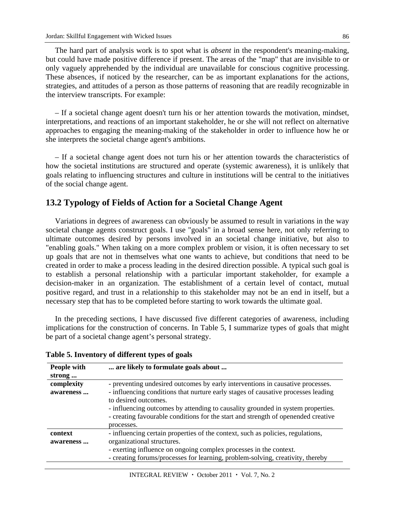The hard part of analysis work is to spot what is *absent* in the respondent's meaning-making, but could have made positive difference if present. The areas of the "map" that are invisible to or only vaguely apprehended by the individual are unavailable for conscious cognitive processing. These absences, if noticed by the researcher, can be as important explanations for the actions, strategies, and attitudes of a person as those patterns of reasoning that are readily recognizable in the interview transcripts. For example:

– If a societal change agent doesn't turn his or her attention towards the motivation, mindset, interpretations, and reactions of an important stakeholder, he or she will not reflect on alternative approaches to engaging the meaning-making of the stakeholder in order to influence how he or she interprets the societal change agent's ambitions.

– If a societal change agent does not turn his or her attention towards the characteristics of how the societal institutions are structured and operate (systemic awareness), it is unlikely that goals relating to influencing structures and culture in institutions will be central to the initiatives of the social change agent.

### **13.2 Typology of Fields of Action for a Societal Change Agent**

Variations in degrees of awareness can obviously be assumed to result in variations in the way societal change agents construct goals. I use "goals" in a broad sense here, not only referring to ultimate outcomes desired by persons involved in an societal change initiative, but also to "enabling goals." When taking on a more complex problem or vision, it is often necessary to set up goals that are not in themselves what one wants to achieve, but conditions that need to be created in order to make a process leading in the desired direction possible. A typical such goal is to establish a personal relationship with a particular important stakeholder, for example a decision-maker in an organization. The establishment of a certain level of contact, mutual positive regard, and trust in a relationship to this stakeholder may not be an end in itself, but a necessary step that has to be completed before starting to work towards the ultimate goal.

In the preceding sections, I have discussed five different categories of awareness, including implications for the construction of concerns. In Table 5, I summarize types of goals that might be part of a societal change agent's personal strategy.

| People with<br>strong | are likely to formulate goals about                                                                                                                                                                                                                                                             |
|-----------------------|-------------------------------------------------------------------------------------------------------------------------------------------------------------------------------------------------------------------------------------------------------------------------------------------------|
| complexity            | - preventing undesired outcomes by early interventions in causative processes.                                                                                                                                                                                                                  |
| awareness             | - influencing conditions that nurture early stages of causative processes leading<br>to desired outcomes.<br>- influencing outcomes by attending to causality grounded in system properties.<br>- creating favourable conditions for the start and strength of openended creative<br>processes. |
| context<br>awareness  | - influencing certain properties of the context, such as policies, regulations,<br>organizational structures.<br>- exerting influence on ongoing complex processes in the context.<br>- creating forums/processes for learning, problem-solving, creativity, thereby                            |

#### **Table 5. Inventory of different types of goals**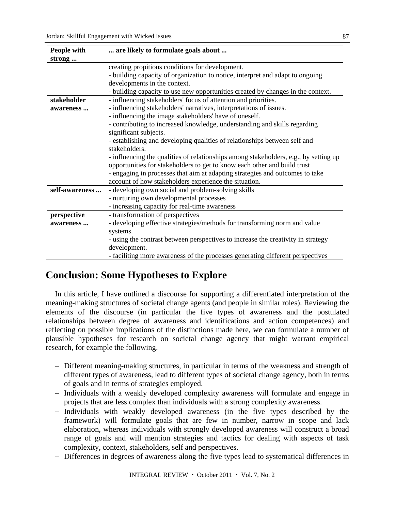| People with    | are likely to formulate goals about                                                  |  |
|----------------|--------------------------------------------------------------------------------------|--|
| strong         |                                                                                      |  |
|                | creating propitious conditions for development.                                      |  |
|                | - building capacity of organization to notice, interpret and adapt to ongoing        |  |
|                | developments in the context.                                                         |  |
|                | - building capacity to use new opportunities created by changes in the context.      |  |
| stakeholder    | - influencing stakeholders' focus of attention and priorities.                       |  |
| awareness      | - influencing stakeholders' narratives, interpretations of issues.                   |  |
|                | - influencing the image stakeholders' have of oneself.                               |  |
|                | - contributing to increased knowledge, understanding and skills regarding            |  |
|                | significant subjects.                                                                |  |
|                | - establishing and developing qualities of relationships between self and            |  |
|                | stakeholders.                                                                        |  |
|                | - influencing the qualities of relationships among stakeholders, e.g., by setting up |  |
|                | opportunities for stakeholders to get to know each other and build trust             |  |
|                | - engaging in processes that aim at adapting strategies and outcomes to take         |  |
|                | account of how stakeholders experience the situation.                                |  |
| self-awareness | - developing own social and problem-solving skills                                   |  |
|                | - nurturing own developmental processes                                              |  |
|                | - increasing capacity for real-time awareness                                        |  |
| perspective    | - transformation of perspectives                                                     |  |
| awareness      | - developing effective strategies/methods for transforming norm and value            |  |
|                | systems.                                                                             |  |
|                | - using the contrast between perspectives to increase the creativity in strategy     |  |
|                | development.                                                                         |  |
|                | - faciliting more awareness of the processes generating different perspectives       |  |

# **Conclusion: Some Hypotheses to Explore**

In this article, I have outlined a discourse for supporting a differentiated interpretation of the meaning-making structures of societal change agents (and people in similar roles). Reviewing the elements of the discourse (in particular the five types of awareness and the postulated relationships between degree of awareness and identifications and action competences) and reflecting on possible implications of the distinctions made here, we can formulate a number of plausible hypotheses for research on societal change agency that might warrant empirical research, for example the following.

- Different meaning-making structures, in particular in terms of the weakness and strength of different types of awareness, lead to different types of societal change agency, both in terms of goals and in terms of strategies employed.
- Individuals with a weakly developed complexity awareness will formulate and engage in projects that are less complex than individuals with a strong complexity awareness.
- Individuals with weakly developed awareness (in the five types described by the framework) will formulate goals that are few in number, narrow in scope and lack elaboration, whereas individuals with strongly developed awareness will construct a broad range of goals and will mention strategies and tactics for dealing with aspects of task complexity, context, stakeholders, self and perspectives.
- Differences in degrees of awareness along the five types lead to systematical differences in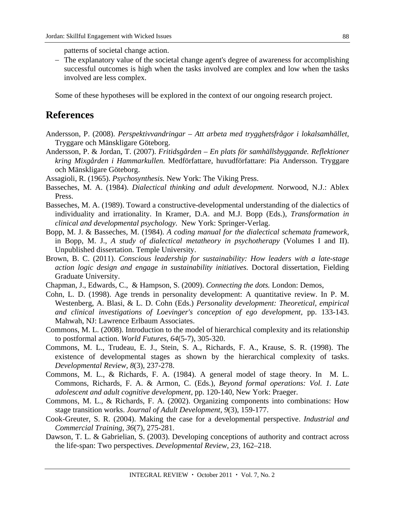patterns of societal change action.

 The explanatory value of the societal change agent's degree of awareness for accomplishing successful outcomes is high when the tasks involved are complex and low when the tasks involved are less complex.

Some of these hypotheses will be explored in the context of our ongoing research project.

# **References**

- Andersson, P. (2008). *Perspektivvandringar Att arbeta med trygghetsfrågor i lokalsamhället,* Tryggare och Mänskligare Göteborg.
- Andersson, P. & Jordan, T. (2007). *Fritidsgården En plats för samhällsbyggande. Reflektioner kring Mixgården i Hammarkullen.* Medförfattare, huvudförfattare: Pia Andersson. Tryggare och Mänskligare Göteborg.
- Assagioli, R. (1965). *Psychosynthesis.* New York: The Viking Press.
- Basseches, M. A. (1984). *Dialectical thinking and adult development.* Norwood, N.J.: Ablex Press.
- Basseches, M. A. (1989). Toward a constructive-developmental understanding of the dialectics of individuality and irrationality. In Kramer, D.A. and M.J. Bopp (Eds.), *Transformation in clinical and developmental psychology.* New York: Springer-Verlag.
- Bopp, M. J. & Basseches, M. (1984). *A coding manual for the dialectical schemata framework,* in Bopp, M. J., *A study of dialectical metatheory in psychotherapy* (Volumes I and II). Unpublished dissertation. Temple University.
- Brown, B. C. (2011). *Conscious leadership for sustainability: How leaders with a late-stage action logic design and engage in sustainability initiatives.* Doctoral dissertation, Fielding Graduate University.
- Chapman, J., Edwards, C., & Hampson, S. (2009). *Connecting the dots.* London: Demos,
- Cohn, L. D. (1998). Age trends in personality development: A quantitative review. In P. M. Westenberg, A. Blasi, & L. D. Cohn (Eds.) *Personality development: Theoretical, empirical and clinical investigations of Loevinger's conception of ego development,* pp. 133-143. Mahwah, NJ: Lawrence Erlbaum Associates.
- Commons, M. L. (2008). Introduction to the model of hierarchical complexity and its relationship to postformal action. *World Futures, 64*(5-7), 305-320.
- Commons, M. L., Trudeau, E. J., Stein, S. A., Richards, F. A., Krause, S. R. (1998). The existence of developmental stages as shown by the hierarchical complexity of tasks. *Developmental Review, 8*(3), 237-278.
- Commons, M. L., & Richards, F. A. (1984). A general model of stage theory. In M. L. Commons, Richards, F. A. & Armon, C. (Eds.), *Beyond formal operations: Vol. 1. Late adolescent and adult cognitive development,* pp. 120-140, New York: Praeger.
- Commons, M. L., & Richards, F. A. (2002). Organizing components into combinations: How stage transition works. *Journal of Adult Development, 9*(3), 159-177.
- Cook-Greuter, S. R. (2004). Making the case for a developmental perspective. *Industrial and Commercial Training, 36*(7), 275-281.
- Dawson, T. L. & Gabrielian, S. (2003). Developing conceptions of authority and contract across the life-span: Two perspectives. *Developmental Review, 23,* 162–218.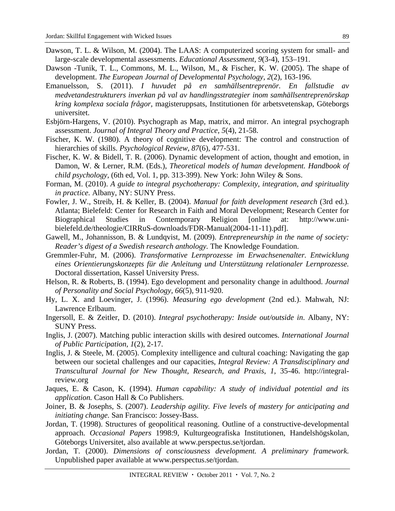- Dawson, T. L. & Wilson, M. (2004). The LAAS: A computerized scoring system for small- and large-scale developmental assessments. *Educational Assessment, 9*(3-4), 153–191.
- Dawson -Tunik, T. L., Commons, M. L., Wilson, M., & Fischer, K. W. (2005). The shape of development. *The European Journal of Developmental Psychology, 2*(2), 163-196.
- Emanuelsson, S. (2011). *I huvudet på en samhällsentreprenör. En fallstudie av medvetandestrukturers inverkan på val av handlingsstrategier inom samhällsentreprenörskap kring komplexa sociala frågor,* magisteruppsats, Institutionen för arbetsvetenskap, Göteborgs universitet.
- Esbjörn-Hargens, V. (2010). Psychograph as Map, matrix, and mirror. An integral psychograph assessment. *Journal of Integral Theory and Practice, 5*(4), 21-58.
- Fischer, K. W. (1980). A theory of cognitive development: The control and construction of hierarchies of skills. *Psychological Review*, *87*(6), 477-531.
- Fischer, K. W. & Bidell, T. R. (2006). Dynamic development of action, thought and emotion, in Damon, W. & Lerner, R.M. (Eds.), *Theoretical models of human development. Handbook of child psychology,* (6th ed, Vol. 1, pp. 313-399). New York: John Wiley & Sons.
- Forman, M. (2010). *A guide to integral psychotherapy: Complexity, integration, and spirituality in practice.* Albany, NY: SUNY Press.
- Fowler, J. W., Streib, H. & Keller, B. (2004). *Manual for faith development research* (3rd ed.)*.* Atlanta; Bielefeld: Center for Research in Faith and Moral Development; Research Center for Biographical Studies in Contemporary Religion [online at: http://www.unibielefeld.de/theologie/CIRRuS-downloads/FDR-Manual(2004-11-11).pdf].
- Gawell, M., Johannisson, B. & Lundqvist, M. (2009). *Entrepreneurship in the name of society: Reader's digest of a Swedish research anthology.* The Knowledge Foundation.
- Gremmler-Fuhr, M. (2006). *Transformative Lernprozesse im Erwachsenenalter. Entwicklung eines Orientierungskonzepts für die Anleitung und Unterstützung relationaler Lernprozesse.*  Doctoral dissertation, Kassel University Press.
- Helson, R. & Roberts, B. (1994). Ego development and personality change in adulthood. *Journal of Personality and Social Psychology, 66*(5), 911-920.
- Hy, L. X. and Loevinger, J. (1996). *Measuring ego development* (2nd ed.). Mahwah, NJ: Lawrence Erlbaum.
- Ingersoll, E. & Zeitler, D. (2010). *Integral psychotherapy: Inside out/outside in*. Albany, NY: SUNY Press.
- Inglis, J. (2007). Matching public interaction skills with desired outcomes. *International Journal of Public Participation, 1*(2), 2-17.
- Inglis, J. & Steele, M. (2005). Complexity intelligence and cultural coaching: Navigating the gap between our societal challenges and our capacities, *Integral Review: A Transdisciplinary and Transcultural Journal for New Thought, Research, and Praxis*, *1,* 35-46. http://integralreview.org
- Jaques, E. & Cason, K. (1994). *Human capability: A study of individual potential and its application.* Cason Hall & Co Publishers.
- Joiner, B. & Josephs, S. (2007). *Leadership agility. Five levels of mastery for anticipating and initiating change.* San Francisco: Jossey-Bass.
- Jordan, T. (1998). Structures of geopolitical reasoning. Outline of a constructive-developmental approach. *Occasional Papers* 1998:9, Kulturgeografiska Institutionen, Handelshögskolan, Göteborgs Universitet, also available at www.perspectus.se/tjordan.
- Jordan, T. (2000). *Dimensions of consciousness development. A preliminary framework.*  Unpublished paper available at www.perspectus.se/tjordan.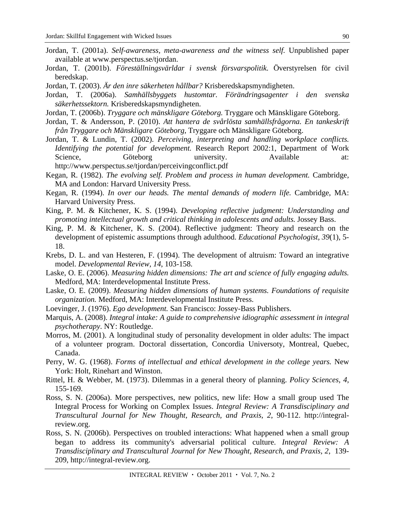- Jordan, T. (2001a). *Self-awareness, meta-awareness and the witness self.* Unpublished paper available at www.perspectus.se/tjordan.
- Jordan, T. (2001b). *Föreställningsvärldar i svensk försvarspolitik.* Överstyrelsen för civil beredskap.
- Jordan, T. (2003). *Är den inre säkerheten hållbar?* Krisberedskapsmyndigheten.
- Jordan, T. (2006a). *Samhällsbyggets hustomtar. Förändringsagenter i den svenska säkerhetssektorn.* Krisberedskapsmyndigheten.
- Jordan, T. (2006b). *Tryggare och mänskligare Göteborg.* Tryggare och Mänskligare Göteborg.
- Jordan, T. & Andersson, P. (2010). *Att hantera de svårlösta samhällsfrågorna. En tankeskrift från Tryggare och Mänskligare Göteborg,* Tryggare och Mänskligare Göteborg.

Jordan, T. & Lundin, T. (2002). *Perceiving, interpreting and handling workplace conflicts. Identifying the potential for development.* Research Report 2002:1, Department of Work Science, Göteborg university. Available at: http://www.perspectus.se/tjordan/perceivingconflict.pdf

- Kegan, R. (1982). *The evolving self. Problem and process in human development.* Cambridge, MA and London: Harvard University Press.
- Kegan, R. (1994). *In over our heads. The mental demands of modern life.* Cambridge, MA: Harvard University Press.
- King, P. M. & Kitchener, K. S. (1994). *Developing reflective judgment: Understanding and promoting intellectual growth and critical thinking in adolescents and adults.* Jossey Bass.
- King, P. M. & Kitchener, K. S. (2004). Reflective judgment: Theory and research on the development of epistemic assumptions through adulthood. *Educational Psychologist, 39*(1), 5- 18.
- Krebs, D. L. and van Hesteren, F. (1994). The development of altruism: Toward an integrative model. *Developmental Review, 14*, 103-158.
- Laske, O. E. (2006). *Measuring hidden dimensions: The art and science of fully engaging adults.*  Medford, MA: Interdevelopmental Institute Press.
- Laske, O. E. (2009). *Measuring hidden dimensions of human systems. Foundations of requisite organization.* Medford, MA: Interdevelopmental Institute Press.
- Loevinger, J. (1976). *Ego development.* San Francisco: Jossey-Bass Publishers.
- Marquis, A. (2008). *Integral intake: A guide to comprehensive idiographic assessment in integral psychotherapy*. NY: Routledge.
- Morros, M. (2001). A longitudinal study of personality development in older adults: The impact of a volunteer program. Doctoral dissertation, Concordia Universoty, Montreal, Quebec, Canada.
- Perry, W. G. (1968). *Forms of intellectual and ethical development in the college years*. New York: Holt, Rinehart and Winston.
- Rittel, H. & Webber, M. (1973). Dilemmas in a general theory of planning. *Policy Sciences, 4,* 155-169.
- Ross, S. N. (2006a). More perspectives, new politics, new life: How a small group used The Integral Process for Working on Complex Issues. *Integral Review: A Transdisciplinary and Transcultural Journal for New Thought, Research, and Praxis*, *2*, 90-112. http://integralreview.org.
- Ross, S. N. (2006b). Perspectives on troubled interactions: What happened when a small group began to address its community's adversarial political culture. *Integral Review: A Transdisciplinary and Transcultural Journal for New Thought, Research, and Praxis*, *2*, 139- 209, http://integral-review.org.